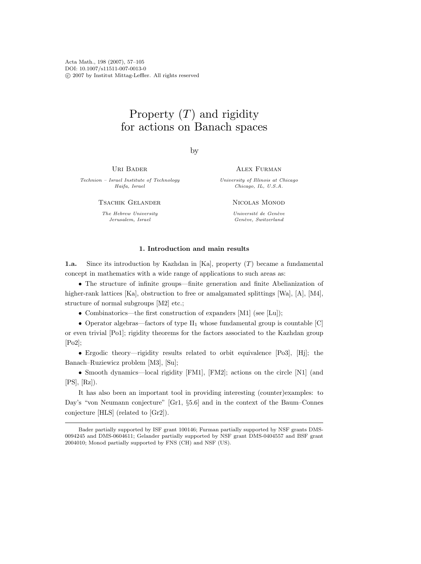Acta Math., 198 (2007), 57–105 DOI: 10.1007/s11511-007-0013-0 c 2007 by Institut Mittag-Leffler. All rights reserved

# Property  $(T)$  and rigidity for actions on Banach spaces

by

Uri Bader

Technion – Israel Institute of Technology Haifa, Israel

Tsachik Gelander

The Hebrew University Jerusalem, Israel

Alex Furman

University of Illinois at Chicago Chicago, IL, U.S.A.

Nicolas Monod

Université de Genève Genève, Switzerland

# 1. Introduction and main results

1.a. Since its introduction by Kazhdan in  $[Ka]$ , property  $(T)$  became a fundamental concept in mathematics with a wide range of applications to such areas as:

• The structure of infinite groups—finite generation and finite Abelianization of higher-rank lattices [Ka], obstruction to free or amalgamated splittings [Wa], [A], [M4], structure of normal subgroups [M2] etc.;

• Combinatorics—the first construction of expanders [M1] (see [Lu]);

• Operator algebras—factors of type  $II_1$  whose fundamental group is countable  $[C]$ or even trivial [Po1]; rigidity theorems for the factors associated to the Kazhdan group [Po2];

• Ergodic theory—rigidity results related to orbit equivalence [Po3], [Hj]; the Banach–Ruziewicz problem [M3], [Su];

• Smooth dynamics—local rigidity [FM1], [FM2]; actions on the circle [N1] (and  $[PS], [Rz]$ .

It has also been an important tool in providing interesting (counter)examples: to Day's "von Neumann conjecture" [Gr1, §5.6] and in the context of the Baum–Connes conjecture [HLS] (related to [Gr2]).

Bader partially supported by ISF grant 100146; Furman partially supported by NSF grants DMS-0094245 and DMS-0604611; Gelander partially supported by NSF grant DMS-0404557 and BSF grant 2004010; Monod partially supported by FNS (CH) and NSF (US).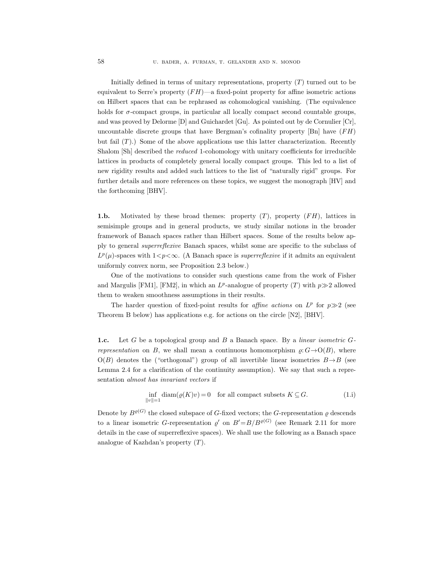Initially defined in terms of unitary representations, property  $(T)$  turned out to be equivalent to Serre's property  $(FH)$ —a fixed-point property for affine isometric actions on Hilbert spaces that can be rephrased as cohomological vanishing. (The equivalence holds for  $\sigma$ -compact groups, in particular all locally compact second countable groups, and was proved by Delorme [D] and Guichardet [Gu]. As pointed out by de Cornulier [Cr], uncountable discrete groups that have Bergman's cofinality property [Bn] have  $(FH)$ but fail  $(T)$ .) Some of the above applications use this latter characterization. Recently Shalom [Sh] described the reduced 1-cohomology with unitary coefficients for irreducible lattices in products of completely general locally compact groups. This led to a list of new rigidity results and added such lattices to the list of "naturally rigid" groups. For further details and more references on these topics, we suggest the monograph [HV] and the forthcoming [BHV].

1.b. Motivated by these broad themes: property  $(T)$ , property  $(FH)$ , lattices in semisimple groups and in general products, we study similar notions in the broader framework of Banach spaces rather than Hilbert spaces. Some of the results below apply to general superreflexive Banach spaces, whilst some are specific to the subclass of  $L^p(\mu)$ -spaces with  $1 < p < \infty$ . (A Banach space is *superreflexive* if it admits an equivalent uniformly convex norm, see Proposition 2.3 below.)

One of the motivations to consider such questions came from the work of Fisher and Margulis [FM1], [FM2], in which an  $L^p$ -analogue of property (T) with  $p\gg 2$  allowed them to weaken smoothness assumptions in their results.

The harder question of fixed-point results for *affine actions* on  $L^p$  for  $p \gg 2$  (see Theorem B below) has applications e.g. for actions on the circle [N2], [BHV].

1.c. Let G be a topological group and B a Banach space. By a linear isometric Grepresentation on B, we shall mean a continuous homomorphism  $\rho: G \rightarrow O(B)$ , where  $O(B)$  denotes the ("orthogonal") group of all invertible linear isometries  $B \rightarrow B$  (see Lemma 2.4 for a clarification of the continuity assumption). We say that such a representation almost has invariant vectors if

$$
\inf_{\|v\|=1} \text{diam}(\varrho(K)v) = 0 \quad \text{for all compact subsets } K \subseteq G. \tag{1.1}
$$

Denote by  $B^{\varrho(G)}$  the closed subspace of G-fixed vectors; the G-representation  $\varrho$  descends to a linear isometric G-representation  $\varrho'$  on  $B'=B/B^{\varrho(G)}$  (see Remark 2.11 for more details in the case of superreflexive spaces). We shall use the following as a Banach space analogue of Kazhdan's property (T).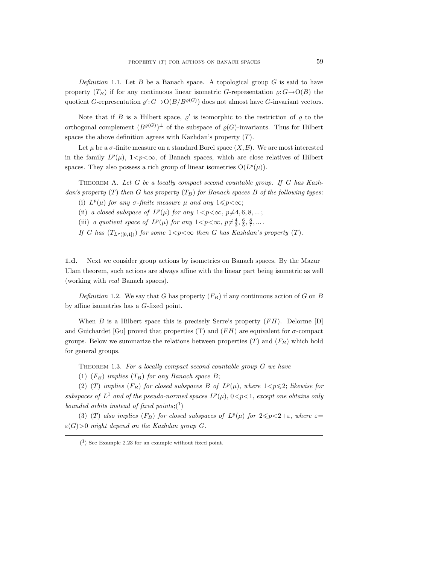Definition 1.1. Let B be a Banach space. A topological group  $G$  is said to have property  $(T_B)$  if for any continuous linear isometric G-representation  $\rho: G \rightarrow O(B)$  the quotient G-representation  $\varrho'$ :  $G \rightarrow O(B/B^{\varrho(G)})$  does not almost have G-invariant vectors.

Note that if B is a Hilbert space,  $\varrho'$  is isomorphic to the restriction of  $\varrho$  to the orthogonal complement  $(B^{\varrho(G)})^{\perp}$  of the subspace of  $\varrho(G)$ -invariants. Thus for Hilbert spaces the above definition agrees with Kazhdan's property  $(T)$ .

Let  $\mu$  be a  $\sigma$ -finite measure on a standard Borel space  $(X, \mathcal{B})$ . We are most interested in the family  $L^p(\mu)$ ,  $1 < p < \infty$ , of Banach spaces, which are close relatives of Hilbert spaces. They also possess a rich group of linear isometries  $O(L^p(\mu))$ .

THEOREM A. Let G be a locally compact second countable group. If G has Kazhdan's property  $(T)$  then G has property  $(T_B)$  for Banach spaces B of the following types:

- (i)  $L^p(\mu)$  for any  $\sigma$ -finite measure  $\mu$  and any  $1 \leq p < \infty$ ;
- (ii) a closed subspace of  $L^p(\mu)$  for any  $1 < p < \infty$ ,  $p \neq 4, 6, 8, ...$ ;
- (iii) a quotient space of  $L^p(\mu)$  for any  $1 < p < \infty$ ,  $p \neq \frac{4}{3}, \frac{6}{5}, \frac{8}{7}, \dots$ .

If G has  $(T_{L^p([0,1])})$  for some  $1 < p < \infty$  then G has Kazhdan's property (T).

1.d. Next we consider group actions by isometries on Banach spaces. By the Mazur– Ulam theorem, such actions are always affine with the linear part being isometric as well (working with real Banach spaces).

Definition 1.2. We say that G has property  $(F_B)$  if any continuous action of G on B by affine isometries has a G-fixed point.

When  $B$  is a Hilbert space this is precisely Serre's property  $(FH)$ . Delorme [D] and Guichardet [Gu] proved that properties (T) and  $(FH)$  are equivalent for  $\sigma$ -compact groups. Below we summarize the relations between properties  $(T)$  and  $(F_B)$  which hold for general groups.

THEOREM 1.3. For a locally compact second countable group  $G$  we have

(1)  $(F_B)$  implies  $(T_B)$  for any Banach space B;

(2) (T) implies  $(F_B)$  for closed subspaces B of  $L^p(\mu)$ , where  $1 < p \leq 2$ ; likewise for subspaces of  $L^1$  and of the pseudo-normed spaces  $L^p(\mu)$ ,  $0 < p < 1$ , except one obtains only bounded orbits instead of fixed points; $({}^{1})$ 

(3) (T) also implies (F<sub>B</sub>) for closed subspaces of  $L^p(\mu)$  for  $2 \leq p < 2+\varepsilon$ , where  $\varepsilon =$  $\varepsilon(G)$ >0 might depend on the Kazhdan group G.

 $(1)$  See Example 2.23 for an example without fixed point.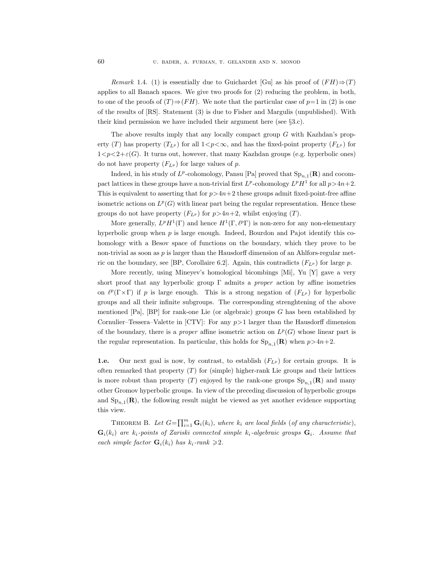Remark 1.4. (1) is essentially due to Guichardet [Gu] as his proof of  $(FH) \Rightarrow (T)$ applies to all Banach spaces. We give two proofs for (2) reducing the problem, in both, to one of the proofs of  $(T) \Rightarrow (FH)$ . We note that the particular case of  $p=1$  in (2) is one of the results of [RS]. Statement (3) is due to Fisher and Margulis (unpublished). With their kind permission we have included their argument here (see §3.c).

The above results imply that any locally compact group G with Kazhdan's property (T) has property  $(T_{L^p})$  for all  $1 < p < \infty$ , and has the fixed-point property  $(F_{L^p})$  for  $1 < p < 2+\varepsilon(G)$ . It turns out, however, that many Kazhdan groups (e.g. hyperbolic ones) do not have property  $(F_{L^p})$  for large values of p.

Indeed, in his study of  $L^p$ -cohomology, Pansu [Pa] proved that  $\text{Sp}_{n,1}(\mathbf{R})$  and cocompact lattices in these groups have a non-trivial first  $L^p$ -cohomology  $L^p H^1$  for all  $p > 4n+2$ . This is equivalent to asserting that for  $p > 4n+2$  these groups admit fixed-point-free affine isometric actions on  $L^p(G)$  with linear part being the regular representation. Hence these groups do not have property  $(F_{L^p})$  for  $p > 4n+2$ , whilst enjoying  $(T)$ .

More generally,  $L^p H^1(\Gamma)$  and hence  $H^1(\Gamma, \ell^p \Gamma)$  is non-zero for any non-elementary hyperbolic group when  $p$  is large enough. Indeed, Bourdon and Pajot identify this cohomology with a Besov space of functions on the boundary, which they prove to be non-trivial as soon as  $p$  is larger than the Hausdorff dimension of an Ahlfors-regular metric on the boundary, see [BP, Corollaire 6.2]. Again, this contradicts  $(F_{LP})$  for large p.

More recently, using Mineyev's homological bicombings [Mi], Yu [Y] gave a very short proof that any hyperbolic group  $\Gamma$  admits a *proper* action by affine isometries on  $\ell^p(\Gamma \times \Gamma)$  if p is large enough. This is a strong negation of  $(F_{L^p})$  for hyperbolic groups and all their infinite subgroups. The corresponding strenghtening of the above mentioned [Pa], [BP] for rank-one Lie (or algebraic) groups G has been established by Cornulier–Tessera–Valette in [CTV]: For any  $p > 1$  larger than the Hausdorff dimension of the boundary, there is a *proper* affine isometric action on  $L^p(G)$  whose linear part is the regular representation. In particular, this holds for  $\text{Sp}_{n,1}(\mathbf{R})$  when  $p>4n+2$ .

**1.e.** Our next goal is now, by contrast, to establish  $(F_{L^p})$  for certain groups. It is often remarked that property  $(T)$  for (simple) higher-rank Lie groups and their lattices is more robust than property (T) enjoyed by the rank-one groups  $\text{Sp}_{n,1}(\mathbf{R})$  and many other Gromov hyperbolic groups. In view of the preceding discussion of hyperbolic groups and  $\text{Sp}_{n,1}(\mathbf{R})$ , the following result might be viewed as yet another evidence supporting this view.

THEOREM B. Let  $G = \prod_{i=1}^{m} G_i(k_i)$ , where  $k_i$  are local fields (of any characteristic),  $\mathbf{G}_i(k_i)$  are  $k_i$ -points of Zariski connected simple  $k_i$ -algebraic groups  $\mathbf{G}_i$ . Assume that each simple factor  $\mathbf{G}_i(k_i)$  has  $k_i$ -rank  $\geq 2$ .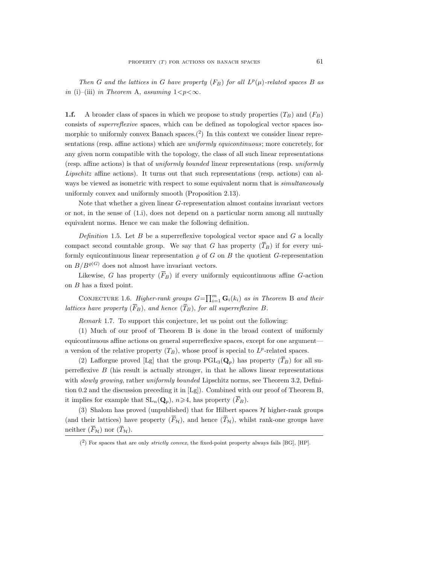Then G and the lattices in G have property  $(F_B)$  for all  $L^p(\mu)$ -related spaces B as in (i)–(iii) in Theorem A, assuming  $1 < p < \infty$ .

**1.f.** A broader class of spaces in which we propose to study properties  $(T_B)$  and  $(F_B)$ consists of superreflexive spaces, which can be defined as topological vector spaces isomorphic to uniformly convex Banach spaces.<sup>(2)</sup> In this context we consider linear representations (resp. affine actions) which are *uniformly equicontinuous*; more concretely, for any given norm compatible with the topology, the class of all such linear representations (resp. affine actions) is that of uniformly bounded linear representations (resp. uniformly Lipschitz affine actions). It turns out that such representations (resp. actions) can always be viewed as isometric with respect to some equivalent norm that is *simultaneously* uniformly convex and uniformly smooth (Proposition 2.13).

Note that whether a given linear G-representation almost contains invariant vectors or not, in the sense of (1.i), does not depend on a particular norm among all mutually equivalent norms. Hence we can make the following definition.

Definition 1.5. Let B be a superreflexive topological vector space and  $G$  a locally compact second countable group. We say that G has property  $(\overline{T}_B)$  if for every uniformly equicontinuous linear representation  $\rho$  of G on B the quotient G-representation on  $B/B^{\varrho(G)}$  does not almost have invariant vectors.

Likewise, G has property  $(\overline{F}_B)$  if every uniformly equicontinuous affine G-action on B has a fixed point.

CONJECTURE 1.6. Higher-rank groups  $G = \prod_{i=1}^{m} \mathbf{G}_i(k_i)$  as in Theorem B and their lattices have property  $(\overline{F}_B)$ , and hence  $(\overline{T}_B)$ , for all superreflexive B.

Remark 1.7. To support this conjecture, let us point out the following:

(1) Much of our proof of Theorem B is done in the broad context of uniformly equicontinuous affine actions on general superreflexive spaces, except for one argument a version of the relative property  $(T_B)$ , whose proof is special to  $L^p$ -related spaces.

(2) Lafforgue proved [Lg] that the group  $PGL_3(Q_p)$  has property  $(T_B)$  for all superreflexive B (his result is actually stronger, in that he allows linear representations with *slowly growing*, rather *uniformly bounded* Lipschitz norms, see Theorem 3.2, Definition 0.2 and the discussion preceding it in [Lg]). Combined with our proof of Theorem B, it implies for example that  $SL_n(\mathbf{Q}_p)$ ,  $n \geq 4$ , has property  $(\overline{F}_B)$ .

(3) Shalom has proved (unpublished) that for Hilbert spaces  $H$  higher-rank groups (and their lattices) have property  $(\overline{F}_{\mathcal{H}})$ , and hence  $(\overline{T}_{\mathcal{H}})$ , whilst rank-one groups have neither  $(\bar{F}_{\mathcal{H}})$  nor  $(\bar{T}_{\mathcal{H}})$ .

 $(2)$  For spaces that are only *strictly convex*, the fixed-point property always fails [BG], [HP].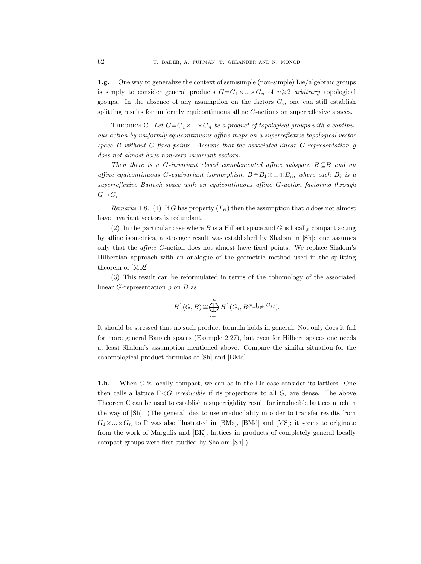1.g. One way to generalize the context of semisimple (non-simple) Lie/algebraic groups is simply to consider general products  $G=G_1\times...\times G_n$  of  $n\geqslant 2$  arbitrary topological groups. In the absence of any assumption on the factors  $G_i$ , one can still establish splitting results for uniformly equicontinuous affine G-actions on superreflexive spaces.

THEOREM C. Let  $G = G_1 \times ... \times G_n$  be a product of topological groups with a continuous action by uniformly equicontinuous affine maps on a superreflexive topological vector space B without G-fixed points. Assume that the associated linear G-representation  $\rho$ does not almost have non-zero invariant vectors.

Then there is a G-invariant closed complemented affine subspace  $B \subseteq B$  and an affine equicontinuous G-equivariant isomorphism  $\underline{B} \cong B_1 \oplus ... \oplus B_n$ , where each  $B_i$  is a superreflexive Banach space with an equicontinuous affine G-action factoring through  $G \rightarrow G_i$ .

Remarks 1.8. (1) If G has property  $(T_B)$  then the assumption that  $\varrho$  does not almost have invariant vectors is redundant.

(2) In the particular case where  $B$  is a Hilbert space and  $G$  is locally compact acting by affine isometries, a stronger result was established by Shalom in [Sh]: one assumes only that the affine G-action does not almost have fixed points. We replace Shalom's Hilbertian approach with an analogue of the geometric method used in the splitting theorem of [Mo2].

(3) This result can be reformulated in terms of the cohomology of the associated linear G-representation  $\rho$  on B as

$$
H^1(G, B) \cong \bigoplus_{i=1}^n H^1(G_i, B^{\varrho(\prod_{j\neq i} G_j)}).
$$

It should be stressed that no such product formula holds in general. Not only does it fail for more general Banach spaces (Example 2.27), but even for Hilbert spaces one needs at least Shalom's assumption mentioned above. Compare the similar situation for the cohomological product formulas of [Sh] and [BMd].

1.h. When G is locally compact, we can as in the Lie case consider its lattices. One then calls a lattice  $\Gamma \leq G$  irreducible if its projections to all  $G_i$  are dense. The above Theorem C can be used to establish a superrigidity result for irreducible lattices much in the way of [Sh]. (The general idea to use irreducibility in order to transfer results from  $G_1 \times ... \times G_n$  to  $\Gamma$  was also illustrated in [BMz], [BMd] and [MS]; it seems to originate from the work of Margulis and [BK]; lattices in products of completely general locally compact groups were first studied by Shalom [Sh].)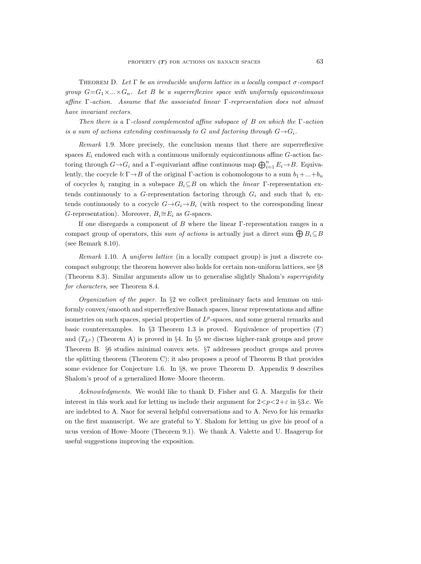THEOREM D. Let  $\Gamma$  be an irreducible uniform lattice in a locally compact  $\sigma$ -compact group  $G = G_1 \times \ldots \times G_n$ . Let B be a superreflexive space with uniformly equicontinuous affine  $\Gamma$ -action. Assume that the associated linear  $\Gamma$ -representation does not almost have invariant vectors.

Then there is a  $\Gamma$ -closed complemented affine subspace of B on which the  $\Gamma$ -action is a sum of actions extending continuously to G and factoring through  $G \rightarrow G_i$ .

Remark 1.9. More precisely, the conclusion means that there are superreflexive spaces  $E_i$  endowed each with a continuous uniformly equicontinuous affine  $G$ -action factoring through  $G \rightarrow G_i$  and a  $\Gamma$ -equivariant affine continuous map  $\bigoplus_{i=1}^n E_i \rightarrow B$ . Equivalently, the cocycle  $b: \Gamma \rightarrow B$  of the original  $\Gamma$ -action is cohomologous to a sum  $b_1 + ... + b_n$ of cocycles  $b_i$  ranging in a subspace  $B_i \subseteq B$  on which the *linear* Γ-representation extends continuously to a G-representation factoring through  $G_i$  and such that  $b_i$  extends continuously to a cocycle  $G \rightarrow G_i \rightarrow B_i$  (with respect to the corresponding linear G-representation). Moreover,  $B_i \cong E_i$  as G-spaces.

If one disregards a component of B where the linear Γ-representation ranges in a compact group of operators, this sum of actions is actually just a direct sum  $\bigoplus B_i \subseteq B$ (see Remark 8.10).

Remark 1.10. A uniform lattice (in a locally compact group) is just a discrete cocompact subgroup; the theorem however also holds for certain non-uniform lattices, see §8 (Theorem 8.3). Similar arguments allow us to generalise slightly Shalom's superrigidity for characters, see Theorem 8.4.

*Organization of the paper.* In  $\S2$  we collect preliminary facts and lemmas on uniformly convex/smooth and superreflexive Banach spaces, linear representations and affine isometries on such spaces, special properties of  $L^p$ -spaces, and some general remarks and basic counterexamples. In §3 Theorem 1.3 is proved. Equivalence of properties  $(T)$ and  $(T_{L^p})$  (Theorem A) is proved in §4. In §5 we discuss higher-rank groups and prove Theorem B. §6 studies minimal convex sets. §7 addresses product groups and proves the splitting theorem (Theorem C); it also proposes a proof of Theorem B that provides some evidence for Conjecture 1.6. In §8, we prove Theorem D. Appendix 9 describes Shalom's proof of a generalized Howe–Moore theorem.

Acknowledgments. We would like to thank D. Fisher and G. A. Margulis for their interest in this work and for letting us include their argument for  $2 < p < 2+\varepsilon$  in §3.c. We are indebted to A. Naor for several helpful conversations and to A. Nevo for his remarks on the first manuscript. We are grateful to Y. Shalom for letting us give his proof of a ucus version of Howe–Moore (Theorem 9.1). We thank A. Valette and U. Haagerup for useful suggestions improving the exposition.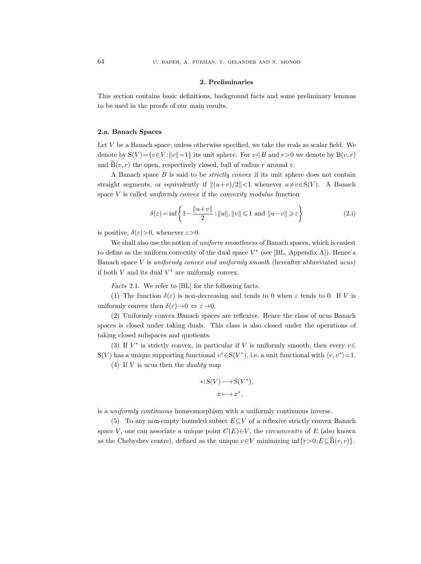### 2. Preliminaries

This section contains basic definitions, background facts and some preliminary lemmas to be used in the proofs of our main results.

### 2.a. Banach Spaces

Let V be a Banach space; unless otherwise specified, we take the reals as scalar field. We denote by  $S(V) = \{v \in V : ||v|| = 1\}$  its unit sphere. For  $v \in B$  and  $r > 0$  we denote by  $B(v, r)$ and  $\bar{B}(v, r)$  the open, respectively closed, ball of radius r around v.

A Banach space  $B$  is said to be *strictly convex* if its unit sphere does not contain straight segments, or equivalently if  $||(u+v)/2||<1$  whenever  $u \neq v \in S(V)$ . A Banach space  $V$  is called *uniformly convex* if the *convexity modulus* function

$$
\delta(\varepsilon) = \inf \left\{ 1 - \frac{\|u + v\|}{2} : \|u\|, \|v\| \leq 1 \text{ and } \|u - v\| \geq \varepsilon \right\}
$$
 (2.1)

is positive,  $\delta(\varepsilon) > 0$ , whenever  $\varepsilon > 0$ .

We shall also use the notion of *uniform smoothness* of Banach spaces, which is easiest to define as the uniform convexity of the dual space  $V^*$  (see [BL, Appendix A]). Hence a Banach space V is uniformly convex and uniformly smooth (hereafter abbreviated ucus) if both  $V$  and its dual  $V^*$  are uniformly convex.

Facts 2.1. We refer to [BL] for the following facts.

(1) The function  $\delta(\varepsilon)$  is non-decreasing and tends to 0 when  $\varepsilon$  tends to 0. If V is uniformly convex then  $\delta(\varepsilon) \to 0 \Leftrightarrow \varepsilon \to 0$ .

(2) Uniformly convex Banach spaces are reflexive. Hence the class of ucus Banach spaces is closed under taking duals. This class is also closed under the operations of taking closed subspaces and quotients.

(3) If  $V^*$  is strictly convex, in particular if V is uniformly smooth, then every  $v \in$ S(V) has a unique supporting functional  $v^* \in S(V^*)$ , i.e. a unit functional with  $\langle v, v^* \rangle = 1$ .

(4) If  $V$  is ucus then the *duality map* 

$$
*: \mathcal{S}(V) \longrightarrow \mathcal{S}(V^*),
$$
  

$$
x \longmapsto x^*,
$$

is a uniformly continuous homeomorphism with a uniformly continuous inverse.

(5) To any non-empty bounded subset  $E\subseteq V$  of a reflexive strictly convex Banach space V, one can associate a unique point  $C(E) \in V$ , the *circumcentre* of E (also known as the Chebyshev centre), defined as the unique  $v \in V$  minimizing inf $\{r > 0: E \subseteq \bar{B}(v, r)\}.$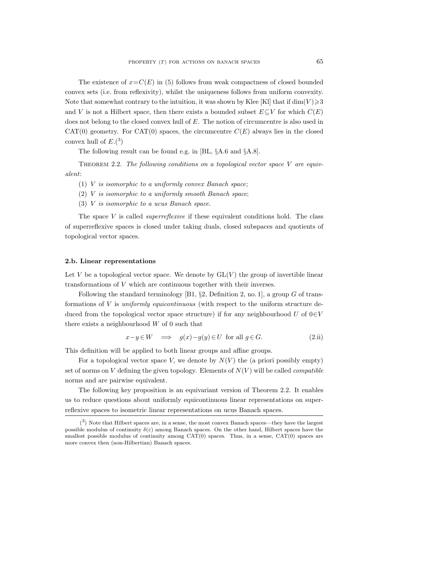The existence of  $x = C(E)$  in (5) follows from weak compactness of closed bounded convex sets (i.e. from reflexivity), whilst the uniqueness follows from uniform convexity. Note that somewhat contrary to the intuition, it was shown by Klee [Kl] that if  $\dim(V) \geqslant 3$ and V is not a Hilbert space, then there exists a bounded subset  $E\subseteq V$  for which  $C(E)$ does not belong to the closed convex hull of E. The notion of circumcentre is also used in CAT(0) geometry. For CAT(0) spaces, the circumcentre  $C(E)$  always lies in the closed convex hull of  $E^{(3)}$ 

The following result can be found e.g. in [BL, §A.6 and §A.8].

THEOREM 2.2. The following conditions on a topological vector space V are equivalent:

- (1) V is isomorphic to a uniformly convex Banach space;
- (2) V is isomorphic to a uniformly smooth Banach space;
- (3) V is isomorphic to a ucus Banach space.

The space  $V$  is called *superreflexive* if these equivalent conditions hold. The class of superreflexive spaces is closed under taking duals, closed subspaces and quotients of topological vector spaces.

### 2.b. Linear representations

Let V be a topological vector space. We denote by  $GL(V)$  the group of invertible linear transformations of V which are continuous together with their inverses.

Following the standard terminology [B1, §2, Definition 2, no. 1], a group G of transformations of V is *uniformly equicontinuous* (with respect to the uniform structure deduced from the topological vector space structure) if for any neighbourhood U of  $0 \in V$ there exists a neighbourhood  $W$  of 0 such that

$$
x - y \in W \quad \Longrightarrow \quad g(x) - g(y) \in U \text{ for all } g \in G. \tag{2.ii}
$$

This definition will be applied to both linear groups and affine groups.

For a topological vector space V, we denote by  $N(V)$  the (a priori possibly empty) set of norms on V defining the given topology. Elements of  $N(V)$  will be called *compatible* norms and are pairwise equivalent.

The following key proposition is an equivariant version of Theorem 2.2. It enables us to reduce questions about uniformly equicontinuous linear representations on superreflexive spaces to isometric linear representations on ucus Banach spaces.

 $(3)$  Note that Hilbert spaces are, in a sense, the most convex Banach spaces—they have the largest possible modulus of continuity  $\delta(\varepsilon)$  among Banach spaces. On the other hand, Hilbert spaces have the smallest possible modulus of continuity among  $CAT(0)$  spaces. Thus, in a sense,  $CAT(0)$  spaces are more convex then (non-Hilbertian) Banach spaces.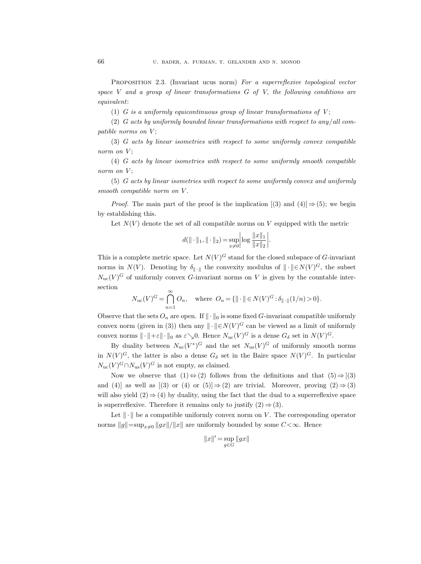PROPOSITION 2.3. (Invariant ucus norm) For a superreflexive topological vector space V and a group of linear transformations  $G$  of V, the following conditions are equivalent:

(1) G is a uniformly equicontinuous group of linear transformations of  $V$ ;

(2) G acts by uniformly bounded linear transformations with respect to any/all compatible norms on  $V$ ;

(3) G acts by linear isometries with respect to some uniformly convex compatible norm on  $V$ ;

(4) G acts by linear isometries with respect to some uniformly smooth compatible norm on  $V$ ;

(5) G acts by linear isometries with respect to some uniformly convex and uniformly smooth compatible norm on V.

*Proof.* The main part of the proof is the implication  $[(3)$  and  $(4)] \Rightarrow (5)$ ; we begin by establishing this.

Let  $N(V)$  denote the set of all compatible norms on V equipped with the metric

$$
d(||\cdot||_1, ||\cdot||_2) = \sup_{x\neq 0} \left| \log \frac{||x||_1}{||x||_2} \right|.
$$

This is a complete metric space. Let  $N(V)^G$  stand for the closed subspace of G-invariant norms in  $N(V)$ . Denoting by  $\delta_{\|\cdot\|}$  the convexity modulus of  $\|\cdot\| \in N(V)^G$ , the subset  $N_{\text{uc}}(V)^G$  of uniformly convex G-invariant norms on V is given by the countable intersection

$$
N_{\text{uc}}(V)^G = \bigcap_{n=1}^{\infty} O_n, \quad \text{where } O_n = \{ || \cdot || \in N(V)^G : \delta_{|| \cdot ||} (1/n) > 0 \}.
$$

Observe that the sets  $O_n$  are open. If  $\|\cdot\|_0$  is some fixed G-invariant compatible uniformly convex norm (given in (3)) then any  $\Vert \cdot \Vert \in N(V)^{G}$  can be viewed as a limit of uniformly convex norms  $\|\cdot\|+\varepsilon\|\cdot\|_0$  as  $\varepsilon\searrow 0$ . Hence  $N_{\text{uc}}(V)^G$  is a dense  $G_\delta$  set in  $N(V)^G$ .

By duality between  $N_{\text{uc}}(V^*)^G$  and the set  $N_{\text{us}}(V)^G$  of uniformly smooth norms in  $N(V)^G$ , the latter is also a dense  $G_{\delta}$  set in the Baire space  $N(V)^G$ . In particular  $N_{\rm uc}(V)^G \cap N_{\rm us}(V)^G$  is not empty, as claimed.

Now we observe that  $(1) \Leftrightarrow (2)$  follows from the definitions and that  $(5) \Rightarrow [(3)$ and (4)] as well as  $[(3)$  or  $(4)$  or  $(5)] \Rightarrow (2)$  are trivial. Moreover, proving  $(2) \Rightarrow (3)$ will also yield  $(2) \Rightarrow (4)$  by duality, using the fact that the dual to a superreflexive space is superreflexive. Therefore it remains only to justify  $(2) \Rightarrow (3)$ .

Let  $\|\cdot\|$  be a compatible uniformly convex norm on V. The corresponding operator norms  $||g||=\sup_{x\neq0}||gx||/||x||$  are uniformly bounded by some  $C<\infty$ . Hence

$$
||x||'=\sup_{g\in G}||gx||
$$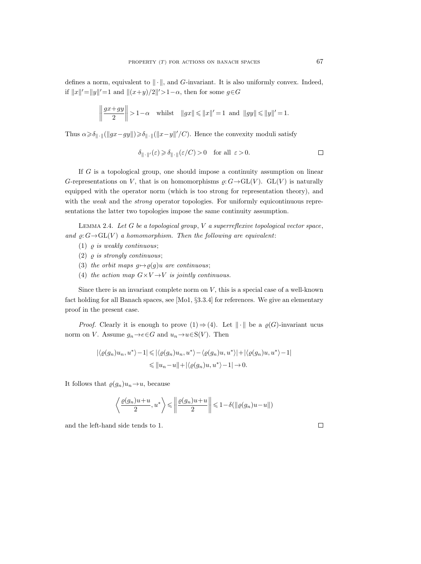defines a norm, equivalent to  $\|\cdot\|$ , and G-invariant. It is also uniformly convex. Indeed, if  $||x||' = ||y||' = 1$  and  $||(x+y)/2||' > 1-\alpha$ , then for some  $g \in G$ 

$$
\left\| \frac{gx + gy}{2} \right\| > 1 - \alpha
$$
 whilst  $\|gx\| \le \|x\|' = 1$  and  $\|gy\| \le \|y\|' = 1$ .

Thus  $\alpha \ge \delta_{\|\cdot\|}(\|gx - gy\|) \ge \delta_{\|\cdot\|}(\|x - y\|'/C)$ . Hence the convexity moduli satisfy

$$
\delta_{\|\cdot\|'}(\varepsilon) \geq \delta_{\|\cdot\|}(\varepsilon/C) > 0 \quad \text{for all } \varepsilon > 0.
$$

If G is a topological group, one should impose a continuity assumption on linear G-representations on V, that is on homomorphisms  $\rho: G \to GL(V)$ . GL(V) is naturally equipped with the operator norm (which is too strong for representation theory), and with the weak and the *strong* operator topologies. For uniformly equicontinuous representations the latter two topologies impose the same continuity assumption.

LEMMA 2.4. Let  $G$  be a topological group,  $V$  a superreflexive topological vector space, and  $\rho: G \rightarrow GL(V)$  a homomorphism. Then the following are equivalent:

- (1)  $\rho$  is weakly continuous;
- (2)  $\rho$  is strongly continuous;
- (3) the orbit maps  $g \mapsto \varrho(g)u$  are continuous;
- (4) the action map  $G \times V \rightarrow V$  is jointly continuous.

Since there is an invariant complete norm on  $V$ , this is a special case of a well-known fact holding for all Banach spaces, see [Mo1, §3.3.4] for references. We give an elementary proof in the present case.

*Proof.* Clearly it is enough to prove  $(1) \Rightarrow (4)$ . Let  $\|\cdot\|$  be a  $\varrho(G)$ -invariant ucus norm on V. Assume  $g_n \to e \in G$  and  $u_n \to u \in S(V)$ . Then

$$
|\langle \varrho(g_n)u_n, u^* \rangle - 1| \leq |\langle \varrho(g_n)u_n, u^* \rangle - \langle \varrho(g_n)u, u^* \rangle| + |\langle \varrho(g_n)u, u^* \rangle - 1|
$$
  

$$
\leq \|u_n - u\| + |\langle \varrho(g_n)u, u^* \rangle - 1| \to 0.
$$

It follows that  $\varrho(g_n)u_n \to u$ , because

$$
\left\langle \frac{\varrho(g_n)u+u}{2}, u^* \right\rangle \leqslant \left\| \frac{\varrho(g_n)u+u}{2} \right\| \leqslant 1-\delta(\left\| \varrho(g_n)u-u \right\|)
$$

and the left-hand side tends to 1.

 $\Box$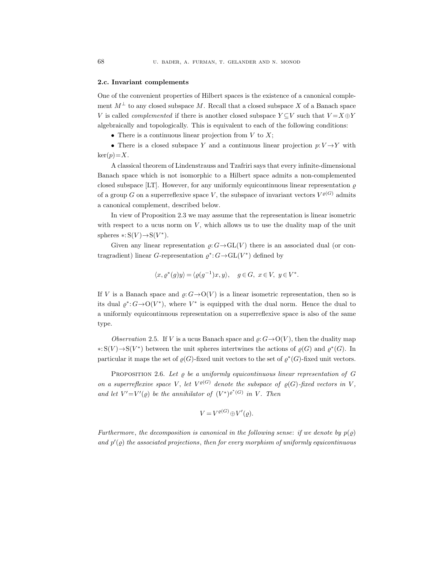### 2.c. Invariant complements

One of the convenient properties of Hilbert spaces is the existence of a canonical complement  $M^{\perp}$  to any closed subspace M. Recall that a closed subspace X of a Banach space V is called *complemented* if there is another closed subspace  $Y \subseteq V$  such that  $V = X \oplus Y$ algebraically and topologically. This is equivalent to each of the following conditions:

• There is a continuous linear projection from  $V$  to  $X$ ;

• There is a closed subspace Y and a continuous linear projection  $p: V \rightarrow Y$  with  $\ker(p)=X$ .

A classical theorem of Lindenstrauss and Tzafriri says that every infinite-dimensional Banach space which is not isomorphic to a Hilbert space admits a non-complemented closed subspace [LT]. However, for any uniformly equicontinuous linear representation  $\rho$ of a group G on a superreflexive space V, the subspace of invariant vectors  $V^{\varrho(G)}$  admits a canonical complement, described below.

In view of Proposition 2.3 we may assume that the representation is linear isometric with respect to a ucus norm on  $V$ , which allows us to use the duality map of the unit spheres  $\ast: S(V) \rightarrow S(V^*)$ .

Given any linear representation  $\varrho: G \to GL(V)$  there is an associated dual (or contragradient) linear G-representation  $\varrho^*$ :  $G \rightarrow GL(V^*)$  defined by

$$
\langle x, \varrho^*(g)y \rangle = \langle \varrho(g^{-1})x, y \rangle, \quad g \in G, \ x \in V, \ y \in V^*.
$$

If V is a Banach space and  $\varrho: G \to O(V)$  is a linear isometric representation, then so is its dual  $\varrho^*$ :  $G \rightarrow O(V^*)$ , where  $V^*$  is equipped with the dual norm. Hence the dual to a uniformly equicontinuous representation on a superreflexive space is also of the same type.

Observation 2.5. If V is a ucus Banach space and  $\varrho: G \to O(V)$ , then the duality map ∗: S(V)→S(V<sup>\*</sup>) between the unit spheres intertwines the actions of  $\varrho(G)$  and  $\varrho^*(G)$ . In particular it maps the set of  $\varrho(G)$ -fixed unit vectors to the set of  $\varrho^*(G)$ -fixed unit vectors.

PROPOSITION 2.6. Let  $\varrho$  be a uniformly equicontinuous linear representation of G on a superreflexive space V, let  $V^{\varrho(G)}$  denote the subspace of  $\varrho(G)$ -fixed vectors in V, and let  $V'=V'(\varrho)$  be the annihilator of  $(V^*)^{\varrho^*(G)}$  in V. Then

$$
V = V^{\varrho(G)} \oplus V'(\varrho).
$$

Furthermore, the decomposition is canonical in the following sense: if we denote by  $p(\varrho)$ and  $p'(\varrho)$  the associated projections, then for every morphism of uniformly equicontinuous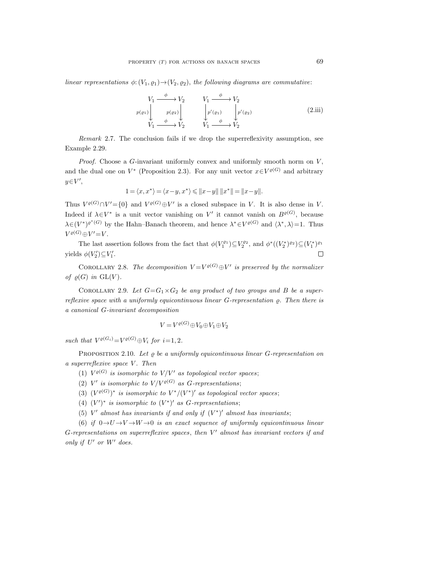linear representations  $\phi: (V_1, \rho_1) \to (V_2, \rho_2)$ , the following diagrams are commutative:

$$
V_1 \xrightarrow{\phi} V_2 \qquad V_1 \xrightarrow{\phi} V_2
$$
  
\n
$$
p(\varrho_1) \downarrow \qquad p(\varrho_2) \downarrow \qquad \qquad \downarrow \qquad p'(\varrho_1) \qquad \qquad \downarrow \qquad p'(\varrho_2)
$$
  
\n
$$
V_1 \xrightarrow{\phi} V_2 \qquad \qquad V_1 \xrightarrow{\phi} V_2
$$
\n(2.iii)

Remark 2.7. The conclusion fails if we drop the superreflexivity assumption, see Example 2.29.

*Proof.* Choose a G-invariant uniformly convex and uniformly smooth norm on  $V$ , and the dual one on  $V^*$  (Proposition 2.3). For any unit vector  $x \in V^{\varrho(G)}$  and arbitrary  $y \in V',$ 

$$
1 = \langle x, x^* \rangle = \langle x - y, x^* \rangle \leq \|x - y\| \, \|x^*\| = \|x - y\|.
$$

Thus  $V^{\varrho(G)} \cap V' = \{0\}$  and  $V^{\varrho(G)} \oplus V'$  is a closed subspace in V. It is also dense in V. Indeed if  $\lambda \in V^*$  is a unit vector vanishing on V' it cannot vanish on  $B^{\varrho(G)}$ , because  $\lambda \in (V^*)^{\varrho^*(G)}$  by the Hahn–Banach theorem, and hence  $\lambda^* \in V^{\varrho(G)}$  and  $\langle \lambda^*, \lambda \rangle = 1$ . Thus  $V^{\varrho(G)} \oplus V' = V.$ 

The last assertion follows from the fact that  $\phi(V_1^{\varrho_1}) \subseteq V_2^{\varrho_2}$ , and  $\phi^*((V_2^*)^{\varrho_2}) \subseteq (V_1^*)^{\varrho_1}$ yields  $\phi(V_2') \subseteq V_1'.$  $\Box$ 

COROLLARY 2.8. The decomposition  $V = V^{\rho(G)} \oplus V'$  is preserved by the normalizer of  $\rho(G)$  in  $GL(V)$ .

COROLLARY 2.9. Let  $G = G_1 \times G_2$  be any product of two groups and B be a superreflexive space with a uniformly equicontinuous linear  $G$ -representation  $\rho$ . Then there is a canonical G-invariant decomposition

$$
V = V^{\varrho(G)} \oplus V_0 \oplus V_1 \oplus V_2
$$

such that  $V^{\varrho(G_i)} = V^{\varrho(G)} \oplus V_i$  for  $i = 1, 2$ .

PROPOSITION 2.10. Let  $\rho$  be a uniformly equicontinuous linear G-representation on  $a$  superreflexive space  $V$ . Then

- (1)  $V^{\varrho(G)}$  is isomorphic to  $V/V'$  as topological vector spaces;
- (2) V' is isomorphic to  $V/V^{ \varrho (G)}$  as G-representations;
- (3)  $(V^{\varrho(G)})^*$  is isomorphic to  $V^*/(V^*)'$  as topological vector spaces;
- (4)  $(V')^*$  is isomorphic to  $(V^*)'$  as G-representations;
- (5)  $V'$  almost has invariants if and only if  $(V^*)'$  almost has invariants;

(6) if  $0 \rightarrow U \rightarrow V \rightarrow W \rightarrow 0$  is an exact sequence of uniformly equicontinuous linear  $G$ -representations on superreflexive spaces, then  $V'$  almost has invariant vectors if and only if  $U'$  or  $W'$  does.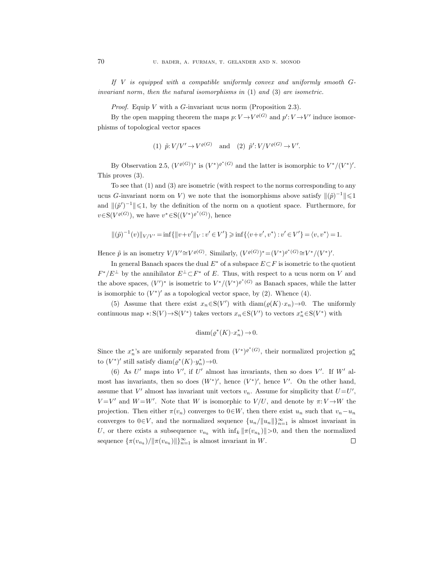If V is equipped with a compatible uniformly convex and uniformly smooth Ginvariant norm, then the natural isomorphisms in  $(1)$  and  $(3)$  are isometric.

*Proof.* Equip V with a G-invariant ucus norm (Proposition 2.3).

By the open mapping theorem the maps  $p: V \to V^{\varrho(G)}$  and  $p': V \to V'$  induce isomorphisms of topological vector spaces

(1) 
$$
\tilde{p}: V/V' \to V^{\varrho(G)}
$$
 and (2)  $\tilde{p}': V/V^{\varrho(G)} \to V'.$ 

By Observation 2.5,  $(V^{\varrho(G)})^*$  is  $(V^*)^{\varrho^*(G)}$  and the latter is isomorphic to  $V^*/(V^*)'$ . This proves (3).

To see that (1) and (3) are isometric (with respect to the norms corresponding to any ucus G-invariant norm on V) we note that the isomorphisms above satisfy  $\|(\tilde{p})^{-1}\| \leq 1$ and  $\|(\tilde{p}')^{-1}\| \leq 1$ , by the definition of the norm on a quotient space. Furthermore, for  $v \in S(V^{\varrho(G)})$ , we have  $v^* \in S((V^*)^{\varrho^*(G)})$ , hence

$$
\|(\tilde{p})^{-1}(v)\|_{V/V'} = \inf\{\|v + v'\|_{V} : v' \in V'\} \geq \inf\{\langle v + v', v^* \rangle : v' \in V'\} = \langle v, v^* \rangle = 1.
$$

Hence  $\tilde{p}$  is an isometry  $V/V' \cong V^{\varrho(G)}$ . Similarly,  $(V^{\varrho(G)})^* = (V^*)^{\varrho^*(G)} \cong V^*/(V^*)'$ .

In general Banach spaces the dual  $E^*$  of a subspace  $E\subset F$  is isometric to the quotient  $F^*/E^{\perp}$  by the annihilator  $E^{\perp} \subset F^*$  of E. Thus, with respect to a ucus norm on V and the above spaces,  $(V')^*$  is isometric to  $V^*/(V^*)^{\rho^*(G)}$  as Banach spaces, while the latter is isomorphic to  $(V^*)'$  as a topological vector space, by (2). Whence (4).

(5) Assume that there exist  $x_n \in S(V')$  with  $\text{diam}(\varrho(K) \cdot x_n) \to 0$ . The uniformly continuous map \*:  $S(V) \to S(V^*)$  takes vectors  $x_n \in S(V')$  to vectors  $x_n^* \in S(V^*)$  with

$$
\text{diam}(\varrho^*(K) \cdot x_n^*) \to 0.
$$

Since the  $x_n^*$ 's are uniformly separated from  $(V^*)^{\rho^*(G)}$ , their normalized projection  $y_n^*$ to  $(V^*)'$  still satisfy diam $(\varrho^*(K) \cdot y_n^*)$   $\to$  0.

(6) As  $U'$  maps into  $V'$ , if  $U'$  almost has invariants, then so does  $V'$ . If  $W'$  almost has invariants, then so does  $(W^*)'$ , hence  $(V^*)'$ , hence  $V'$ . On the other hand, assume that  $V'$  almost has invariant unit vectors  $v_n$ . Assume for simplicity that  $U=U'$ ,  $V = V'$  and  $W = W'$ . Note that W is isomorphic to  $V/U$ , and denote by  $\pi: V \to W$  the projection. Then either  $\pi(v_n)$  converges to  $0 \in W$ , then there exist  $u_n$  such that  $v_n-u_n$ converges to  $0 \in V$ , and the normalized sequence  $\{u_n/||u_n||\}_{n=1}^{\infty}$  is almost invariant in U, or there exists a subsequence  $v_{n_k}$  with  $\inf_k ||\pi(v_{n_k})|| > 0$ , and then the normalized sequence  $\{\pi(v_{n_k})/\|\pi(v_{n_k})\|\}_{n=1}^{\infty}$  is almost invariant in W.  $\Box$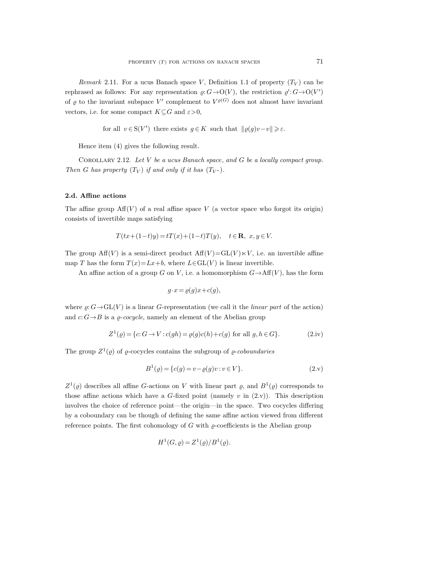Remark 2.11. For a ucus Banach space V, Definition 1.1 of property  $(T_V)$  can be rephrased as follows: For any representation  $\varrho: G \to O(V)$ , the restriction  $\varrho': G \to O(V')$ of  $\varrho$  to the invariant subspace V' complement to  $V^{\varrho(G)}$  does not almost have invariant vectors, i.e. for some compact  $K\subseteq G$  and  $\varepsilon>0$ ,

for all  $v \in S(V')$  there exists  $g \in K$  such that  $||\varrho(g)v-v|| \geq \varepsilon$ .

Hence item (4) gives the following result.

Corollary 2.12. Let V be a ucus Banach space, and G be a locally compact group. Then G has property  $(T_V)$  if and only if it has  $(T_{V^*})$ .

## 2.d. Affine actions

The affine group  $\text{Aff}(V)$  of a real affine space V (a vector space who forgot its origin) consists of invertible maps satisfying

$$
T(tx+(1-t)y) = tT(x) + (1-t)T(y), \quad t \in \mathbb{R}, \ x, y \in V.
$$

The group  $\text{Aff}(V)$  is a semi-direct product  $\text{Aff}(V) = \text{GL}(V) \ltimes V$ , i.e. an invertible affine map T has the form  $T(x)=Lx+b$ , where  $L\in GL(V)$  is linear invertible.

An affine action of a group G on V, i.e. a homomorphism  $G \rightarrow Aff(V)$ , has the form

$$
g \cdot x = \varrho(g)x + c(g),
$$

where  $\varrho: G \to GL(V)$  is a linear G-representation (we call it the *linear part* of the action) and  $c: G \rightarrow B$  is a  $\rho$ -cocycle, namely an element of the Abelian group

$$
Z1(\varrho) = \{c: G \to V : c(gh) = \varrho(g)c(h) + c(g) \text{ for all } g, h \in G\}.
$$
 (2.iv)

The group  $Z^1(\varrho)$  of  $\varrho$ -cocycles contains the subgroup of  $\varrho$ -coboundaries

$$
B^{1}( \varrho) = \{c(g) = v - \varrho(g)v : v \in V\}.
$$
\n(2. v)

 $Z^1(\varrho)$  describes all affine G-actions on V with linear part  $\varrho$ , and  $B^1(\varrho)$  corresponds to those affine actions which have a  $G$ -fixed point (namely v in  $(2.v)$ ). This description involves the choice of reference point—the origin—in the space. Two cocycles differing by a coboundary can be though of defining the same affine action viewed from different reference points. The first cohomology of G with  $\rho$ -coefficients is the Abelian group

$$
H^1(G, \varrho) = Z^1(\varrho)/B^1(\varrho).
$$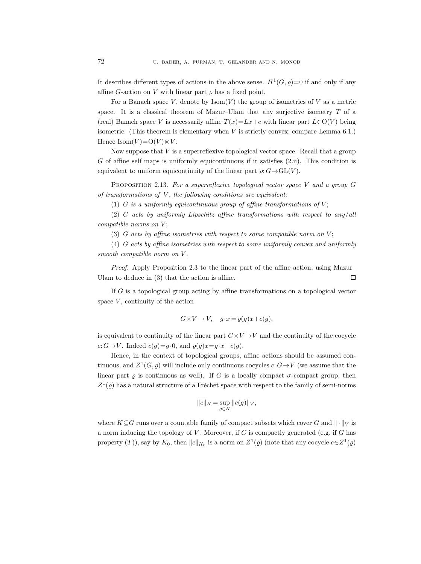It describes different types of actions in the above sense.  $H^1(G, \varrho)=0$  if and only if any affine G-action on V with linear part  $\rho$  has a fixed point.

For a Banach space V, denote by  $\text{Isom}(V)$  the group of isometries of V as a metric space. It is a classical theorem of Mazur–Ulam that any surjective isometry  $T$  of a (real) Banach space V is necessarily affine  $T(x)=Lx+c$  with linear part  $L\in O(V)$  being isometric. (This theorem is elementary when  $V$  is strictly convex; compare Lemma 6.1.) Hence  $\text{Isom}(V) = O(V) \ltimes V$ .

Now suppose that  $V$  is a superreflexive topological vector space. Recall that a group  $G$  of affine self maps is uniformly equicontinuous if it satisfies  $(2.ii)$ . This condition is equivalent to uniform equicontinuity of the linear part  $\rho: G \to GL(V)$ .

PROPOSITION 2.13. For a superreflexive topological vector space V and a group  $G$ of transformations of  $V$ , the following conditions are equivalent:

(1) G is a uniformly equicontinuous group of affine transformations of  $V$ ;

(2) G acts by uniformly Lipschitz affine transformations with respect to any/all  $compatible\ norms\ on\ V;$ 

(3) G acts by affine isometries with respect to some compatible norm on  $V$ ;

(4) G acts by affine isometries with respect to some uniformly convex and uniformly smooth compatible norm on V.

Proof. Apply Proposition 2.3 to the linear part of the affine action, using Mazur– Ulam to deduce in (3) that the action is affine.  $\Box$ 

If G is a topological group acting by affine transformations on a topological vector space  $V$ , continuity of the action

$$
G \times V \to V, \quad g \cdot x = \varrho(g)x + c(g),
$$

is equivalent to continuity of the linear part  $G \times V \rightarrow V$  and the continuity of the cocycle c:  $G \rightarrow V$ . Indeed  $c(g)=g\cdot 0$ , and  $\varrho(g)x=g\cdot x-c(g)$ .

Hence, in the context of topological groups, affine actions should be assumed continuous, and  $Z^1(G, \varrho)$  will include only continuous cocycles  $c: G \to V$  (we assume that the linear part  $\rho$  is continuous as well). If G is a locally compact  $\sigma$ -compact group, then  $Z^1(\varrho)$  has a natural structure of a Fréchet space with respect to the family of semi-norms

$$
||c||_K = \sup_{g \in K} ||c(g)||_V,
$$

where  $K \subseteq G$  runs over a countable family of compact subsets which cover G and  $\|\cdot\|_V$  is a norm inducing the topology of  $V$ . Moreover, if  $G$  is compactly generated (e.g. if  $G$  has property  $(T)$ ), say by  $K_0$ , then  $||c||_{K_0}$  is a norm on  $Z^1(\varrho)$  (note that any cocycle  $c \in Z^1(\varrho)$ )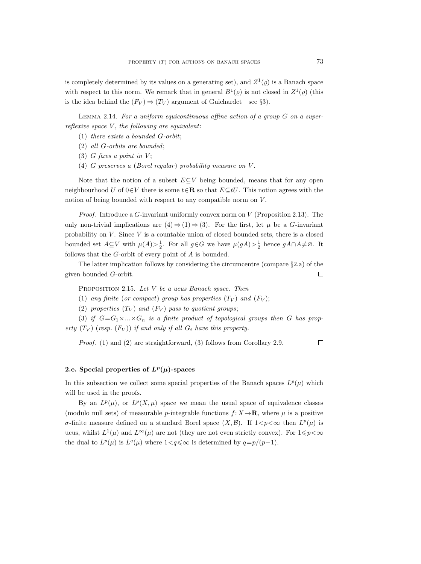is completely determined by its values on a generating set), and  $Z^1(\varrho)$  is a Banach space with respect to this norm. We remark that in general  $B^1(\varrho)$  is not closed in  $Z^1(\varrho)$  (this is the idea behind the  $(F_V) \Rightarrow (T_V)$  argument of Guichardet—see §3).

LEMMA 2.14. For a uniform equicontinuous affine action of a group  $G$  on a superreflexive space  $V$ , the following are equivalent:

- (1) there exists a bounded G-orbit;
- (2) all G-orbits are bounded;
- (3) G fixes a point in  $V$ ;
- (4) G preserves a (Borel regular) probability measure on  $V$ .

Note that the notion of a subset  $E\subseteq V$  being bounded, means that for any open neighbourhood U of  $0 \in V$  there is some  $t \in \mathbb{R}$  so that  $E \subset tU$ . This notion agrees with the notion of being bounded with respect to any compatible norm on  $V$ .

*Proof.* Introduce a G-invariant uniformly convex norm on  $V$  (Proposition 2.13). The only non-trivial implications are  $(4) \Rightarrow (1) \Rightarrow (3)$ . For the first, let  $\mu$  be a G-invariant probability on  $V$ . Since  $V$  is a countable union of closed bounded sets, there is a closed bounded set  $A \subseteq V$  with  $\mu(A) > \frac{1}{2}$ . For all  $g \in G$  we have  $\mu(gA) > \frac{1}{2}$  hence  $gA \cap A \neq \emptyset$ . It follows that the G-orbit of every point of A is bounded.

The latter implication follows by considering the circumcentre (compare §2.a) of the given bounded G-orbit.  $\Box$ 

PROPOSITION 2.15. Let  $V$  be a ucus Banach space. Then

- (1) any finite (or compact) group has properties  $(T_V)$  and  $(F_V)$ ;
- (2) properties  $(T_V)$  and  $(F_V)$  pass to quotient groups;

(3) if  $G=G_1\times...\times G_n$  is a finite product of topological groups then G has property  $(T_V)$  (resp.  $(F_V)$ ) if and only if all  $G_i$  have this property.

Proof. (1) and (2) are straightforward, (3) follows from Corollary 2.9.

### $\Box$

# 2.e. Special properties of  $L^p(\mu)$ -spaces

In this subsection we collect some special properties of the Banach spaces  $L^p(\mu)$  which will be used in the proofs.

By an  $L^p(\mu)$ , or  $L^p(X,\mu)$  space we mean the usual space of equivalence classes (modulo null sets) of measurable p-integrable functions  $f: X \to \mathbf{R}$ , where  $\mu$  is a positive σ-finite measure defined on a standard Borel space  $(X, \mathcal{B})$ . If  $1 < p < \infty$  then  $L^p(\mu)$  is ucus, whilst  $L^1(\mu)$  and  $L^{\infty}(\mu)$  are not (they are not even strictly convex). For  $1 \leq \rho < \infty$ the dual to  $L^p(\mu)$  is  $L^q(\mu)$  where  $1 < q \leq \infty$  is determined by  $q = p/(p-1)$ .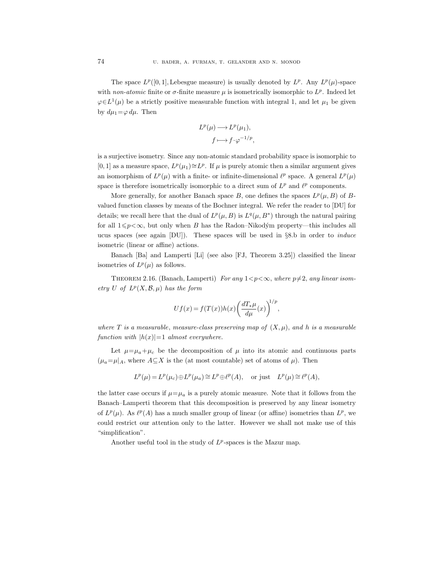The space  $L^p([0,1], \text{Lebesgue measure})$  is usually denoted by  $L^p$ . Any  $L^p(\mu)$ -space with non-atomic finite or  $\sigma$ -finite measure  $\mu$  is isometrically isomorphic to  $L^p$ . Indeed let  $\varphi \in L^1(\mu)$  be a strictly positive measurable function with integral 1, and let  $\mu_1$  be given by  $d\mu_1 = \varphi \, d\mu$ . Then

$$
L^p(\mu) \longrightarrow L^p(\mu_1),
$$
  

$$
f \longmapsto f \cdot \varphi^{-1/p},
$$

is a surjective isometry. Since any non-atomic standard probability space is isomorphic to [0, 1] as a measure space,  $L^p(\mu_1) \cong L^p$ . If  $\mu$  is purely atomic then a similar argument gives an isomorphism of  $L^p(\mu)$  with a finite- or infinite-dimensional  $\ell^p$  space. A general  $L^p(\mu)$ space is therefore isometrically isomorphic to a direct sum of  $L^p$  and  $\ell^p$  components.

More generally, for another Banach space B, one defines the spaces  $L^p(\mu, B)$  of Bvalued function classes by means of the Bochner integral. We refer the reader to [DU] for details; we recall here that the dual of  $L^p(\mu, B)$  is  $L^q(\mu, B^*)$  through the natural pairing for all  $1\leq p<\infty$ , but only when B has the Radon–Nikodým property—this includes all ucus spaces (see again [DU]). These spaces will be used in §8.b in order to induce isometric (linear or affine) actions.

Banach [Ba] and Lamperti [Li] (see also [FJ, Theorem 3.25]) classified the linear isometries of  $L^p(\mu)$  as follows.

THEOREM 2.16. (Banach, Lamperti) For any  $1 < p < \infty$ , where  $p \neq 2$ , any linear isometry U of  $L^p(X, \mathcal{B}, \mu)$  has the form

$$
Uf(x) = f(T(x))h(x)\left(\frac{dT_*\mu}{d\mu}(x)\right)^{1/p},
$$

where T is a measurable, measure-class preserving map of  $(X, \mu)$ , and h is a measurable function with  $|h(x)|=1$  almost everywhere.

Let  $\mu = \mu_a + \mu_c$  be the decomposition of  $\mu$  into its atomic and continuous parts  $(\mu_a=\mu|_A)$ , where  $A\subseteq X$  is the (at most countable) set of atoms of  $\mu$ ). Then

$$
L^p(\mu) = L^p(\mu_c) \oplus L^p(\mu_a) \cong L^p \oplus \ell^p(A), \text{ or just } L^p(\mu) \cong \ell^p(A),
$$

the latter case occurs if  $\mu = \mu_a$  is a purely atomic measure. Note that it follows from the Banach–Lamperti theorem that this decomposition is preserved by any linear isometry of  $L^p(\mu)$ . As  $\ell^p(A)$  has a much smaller group of linear (or affine) isometries than  $L^p$ , we could restrict our attention only to the latter. However we shall not make use of this "simplification".

Another useful tool in the study of  $L^p$ -spaces is the Mazur map.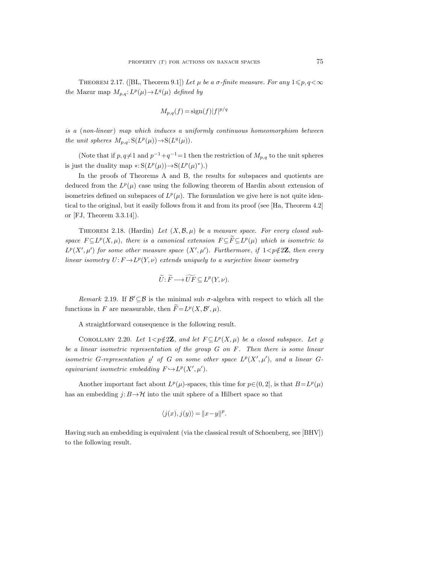THEOREM 2.17. ([BL, Theorem 9.1]) Let  $\mu$  be a  $\sigma$ -finite measure. For any  $1 \leq p, q < \infty$ the Mazur map  $M_{p,q}: L^p(\mu) \to L^q(\mu)$  defined by

$$
M_{p,q}(f) = \operatorname{sign}(f)|f|^{p/q}
$$

is a (non-linear) map which induces a uniformly continuous homeomorphism between the unit spheres  $M_{p,q}: S(L^p(\mu)) \to S(L^q(\mu)).$ 

(Note that if  $p, q\neq 1$  and  $p^{-1}+q^{-1}=1$  then the restriction of  $M_{p,q}$  to the unit spheres is just the duality map  $\ast: S(L^p(\mu)) \to S(L^p(\mu)^*).$ 

In the proofs of Theorems A and B, the results for subspaces and quotients are deduced from the  $L^p(\mu)$  case using the following theorem of Hardin about extension of isometries defined on subspaces of  $L^p(\mu)$ . The formulation we give here is not quite identical to the original, but it easily follows from it and from its proof (see [Ha, Theorem 4.2] or [FJ, Theorem 3.3.14]).

THEOREM 2.18. (Hardin) Let  $(X, \mathcal{B}, \mu)$  be a measure space. For every closed subspace  $F \subseteq L^p(X, \mu)$ , there is a canonical extension  $F \subseteq \overline{F} \subseteq L^p(\mu)$  which is isometric to  $L^p(X',\mu')$  for some other measure space  $(X',\mu')$ . Furthermore, if  $1 < p \notin 2\mathbb{Z}$ , then every linear isometry  $U: F \to L^p(Y, \nu)$  extends uniquely to a surjective linear isometry

$$
\widetilde{U} \colon \widetilde{F} \longrightarrow \widetilde{U}F \subseteq L^p(Y,\nu).
$$

Remark 2.19. If  $\mathcal{B}' \subseteq \mathcal{B}$  is the minimal sub  $\sigma$ -algebra with respect to which all the functions in F are measurable, then  $\tilde{F} = L^p(X, \mathcal{B}', \mu)$ .

A straightforward consequence is the following result.

COROLLARY 2.20. Let  $1 < p \notin 2\mathbb{Z}$ , and let  $F \subseteq L^p(X, \mu)$  be a closed subspace. Let  $\varrho$ be a linear isometric representation of the group  $G$  on  $F$ . Then there is some linear isometric G-representation  $\varrho'$  of G on some other space  $L^p(X',\mu')$ , and a linear Gequivariant isometric embedding  $F \hookrightarrow L^p(X',\mu').$ 

Another important fact about  $L^p(\mu)$ -spaces, this time for  $p \in (0, 2]$ , is that  $B = L^p(\mu)$ has an embedding  $j: B \to \mathcal{H}$  into the unit sphere of a Hilbert space so that

$$
\langle j(x), j(y) \rangle = ||x - y||^p.
$$

Having such an embedding is equivalent (via the classical result of Schoenberg, see [BHV]) to the following result.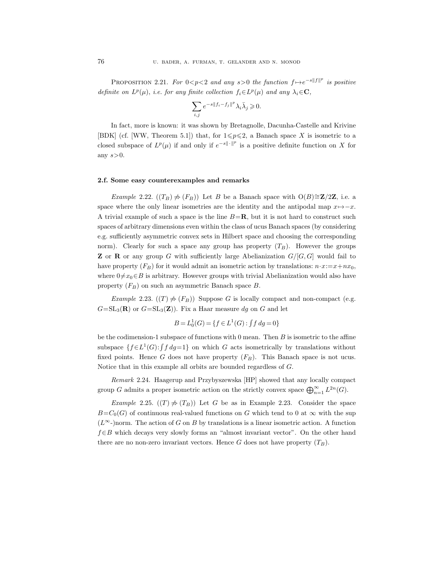PROPOSITION 2.21. For  $0 < p < 2$  and any  $s > 0$  the function  $f \mapsto e^{-s||f||^p}$  is positive definite on  $L^p(\mu)$ , i.e. for any finite collection  $f_i \in L^p(\mu)$  and any  $\lambda_i \in \mathbb{C}$ ,

$$
\sum_{i,j} e^{-s\|f_i-f_j\|^p}\lambda_i\bar\lambda_j\geqslant 0.
$$

In fact, more is known: it was shown by Bretagnolle, Dacunha-Castelle and Krivine [BDK] (cf. [WW, Theorem 5.1]) that, for  $1\leq p\leq 2$ , a Banach space X is isometric to a closed subspace of  $L^p(\mu)$  if and only if  $e^{-s\|\cdot\|^p}$  is a positive definite function on X for any  $s > 0$ .

### 2.f. Some easy counterexamples and remarks

*Example 2.22.* ( $(T_B)$   $\neq$   $(F_B)$ ) Let B be a Banach space with O(B)≅Z/2Z, i.e. a space where the only linear isometries are the identity and the antipodal map  $x \mapsto -x$ . A trivial example of such a space is the line  $B=\mathbf{R}$ , but it is not hard to construct such spaces of arbitrary dimensions even within the class of ucus Banach spaces (by considering e.g. sufficiently asymmetric convex sets in Hilbert space and choosing the corresponding norm). Clearly for such a space any group has property  $(T_B)$ . However the groups **Z** or **R** or any group G with sufficiently large Abelianization  $G/[G, G]$  would fail to have property  $(F_B)$  for it would admit an isometric action by translations:  $n \cdot x := x + nx_0$ , where  $0 \neq x_0 \in B$  is arbitrary. However groups with trivial Abelianization would also have property  $(F_B)$  on such an asymmetric Banach space  $B$ .

Example 2.23.  $((T) \neq (F_B))$  Suppose G is locally compact and non-compact (e.g.  $G=\mathrm{SL}_3(\mathbf{R})$  or  $G=\mathrm{SL}_3(\mathbf{Z})$ . Fix a Haar measure dg on G and let

$$
B = L_0^1(G) = \{ f \in L^1(G) : \int f \, dg = 0 \}
$$

be the codimension-1 subspace of functions with  $0$  mean. Then  $B$  is isometric to the affine subspace  $\{f \in L^1(G) : \int f \, dg = 1\}$  on which G acts isometrically by translations without fixed points. Hence G does not have property  $(F_B)$ . This Banach space is not ucus. Notice that in this example all orbits are bounded regardless of G.

Remark 2.24. Haagerup and Przybyszewska [HP] showed that any locally compact group G admits a proper isometric action on the strictly convex space  $\bigoplus_{n=1}^{\infty} L^{2n}(G)$ .

Example 2.25.  $((T) \neq (T_B))$  Let G be as in Example 2.23. Consider the space  $B=C_0(G)$  of continuous real-valued functions on G which tend to 0 at  $\infty$  with the sup  $(L^{\infty})$  norm. The action of G on B by translations is a linear isometric action. A function  $f \in B$  which decays very slowly forms an "almost invariant vector". On the other hand there are no non-zero invariant vectors. Hence G does not have property  $(T_B)$ .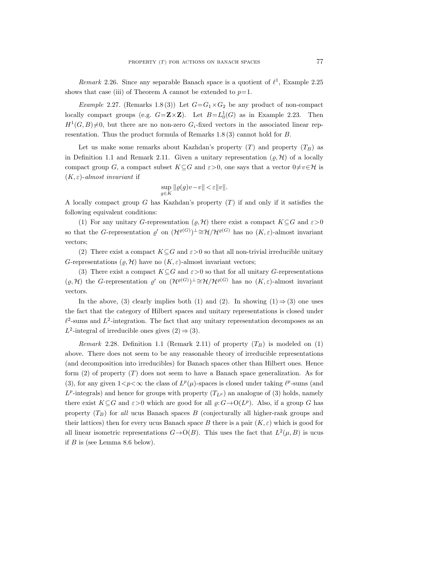Remark 2.26. Since any separable Banach space is a quotient of  $\ell^1$ , Example 2.25 shows that case (iii) of Theorem A cannot be extended to  $p=1$ .

*Example 2.27.* (Remarks 1.8(3)) Let  $G = G_1 \times G_2$  be any product of non-compact locally compact groups (e.g.  $G = \mathbf{Z} \times \mathbf{Z}$ ). Let  $B = L_0^1(G)$  as in Example 2.23. Then  $H^1(G, B) \neq 0$ , but there are no non-zero  $G_i$ -fixed vectors in the associated linear representation. Thus the product formula of Remarks 1.8 (3) cannot hold for B.

Let us make some remarks about Kazhdan's property  $(T)$  and property  $(T_B)$  as in Definition 1.1 and Remark 2.11. Given a unitary representation  $(\rho, \mathcal{H})$  of a locally compact group G, a compact subset  $K \subseteq G$  and  $\varepsilon > 0$ , one says that a vector  $0 \neq v \in H$  is  $(K, \varepsilon)$ -almost invariant if

$$
\sup_{g\in K}\|\varrho(g)v-v\|<\varepsilon\|v\|.
$$

A locally compact group G has Kazhdan's property  $(T)$  if and only if it satisfies the following equivalent conditions:

(1) For any unitary G-representation  $(\varrho, \mathcal{H})$  there exist a compact  $K \subseteq G$  and  $\varepsilon > 0$ so that the G-representation  $\varrho'$  on  $(\mathcal{H}^{\varrho(G)})^{\perp} \cong \mathcal{H}/\mathcal{H}^{\varrho(G)}$  has no  $(K,\varepsilon)$ -almost invariant vectors;

(2) There exist a compact  $K\subseteq G$  and  $\varepsilon>0$  so that all non-trivial irreducible unitary G-representations  $(\rho, \mathcal{H})$  have no  $(K, \varepsilon)$ -almost invariant vectors;

(3) There exist a compact  $K \subseteq G$  and  $\varepsilon > 0$  so that for all unitary G-representations  $(\varrho, \mathcal{H})$  the G-representation  $\varrho'$  on  $(\mathcal{H}^{\varrho(G)})^{\perp} \cong \mathcal{H}/\mathcal{H}^{\varrho(G)}$  has no  $(K, \varepsilon)$ -almost invariant vectors.

In the above, (3) clearly implies both (1) and (2). In showing  $(1) \Rightarrow (3)$  one uses the fact that the category of Hilbert spaces and unitary representations is closed under  $\ell^2$ -sums and  $L^2$ -integration. The fact that any unitary representation decomposes as an L<sup>2</sup>-integral of irreducible ones gives  $(2) \Rightarrow (3)$ .

Remark 2.28. Definition 1.1 (Remark 2.11) of property  $(T_B)$  is modeled on (1) above. There does not seem to be any reasonable theory of irreducible representations (and decomposition into irreducibles) for Banach spaces other than Hilbert ones. Hence form (2) of property (T) does not seem to have a Banach space generalization. As for (3), for any given  $1 < p < \infty$  the class of  $L^p(\mu)$ -spaces is closed under taking  $\ell^p$ -sums (and  $L^p$ -integrals) and hence for groups with property  $(T_{L^p})$  an analogue of (3) holds, namely there exist  $K \subseteq G$  and  $\varepsilon > 0$  which are good for all  $\varrho: G \to O(L^p)$ . Also, if a group G has property  $(T_B)$  for all ucus Banach spaces B (conjecturally all higher-rank groups and their lattices) then for every ucus Banach space B there is a pair  $(K, \varepsilon)$  which is good for all linear isometric representations  $G \rightarrow O(B)$ . This uses the fact that  $L^2(\mu, B)$  is ucus if  $B$  is (see Lemma 8.6 below).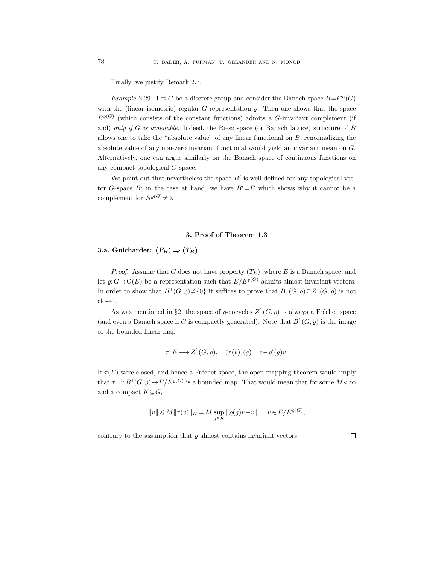Finally, we justify Remark 2.7.

Example 2.29. Let G be a discrete group and consider the Banach space  $B=\ell^{\infty}(G)$ with the (linear isometric) regular  $G$ -representation  $\rho$ . Then one shows that the space  $B^{\varrho(G)}$  (which consists of the constant functions) admits a G-invariant complement (if and) only if G is amenable. Indeed, the Riesz space (or Banach lattice) structure of B allows one to take the "absolute value" of any linear functional on  $B$ ; renormalizing the absolute value of any non-zero invariant functional would yield an invariant mean on G. Alternatively, one can argue similarly on the Banach space of continuous functions on any compact topological G-space.

We point out that nevertheless the space  $B'$  is well-defined for any topological vector G-space B; in the case at hand, we have  $B'=B$  which shows why it cannot be a complement for  $B^{\varrho(G)} \neq 0$ .

### 3. Proof of Theorem 1.3

3.a. Guichardet:  $(F_B) \Rightarrow (T_B)$ 

*Proof.* Assume that G does not have property  $(T_E)$ , where E is a Banach space, and let  $\varrho: G \to O(E)$  be a representation such that  $E/E^{\varrho(G)}$  admits almost invariant vectors. In order to show that  $H^1(G, \varrho) \neq \{0\}$  it suffices to prove that  $B^1(G, \varrho) \subseteq Z^1(G, \varrho)$  is not closed.

As was mentioned in §2, the space of  $\varrho$ -cocycles  $Z^1(G, \varrho)$  is always a Fréchet space (and even a Banach space if G is compactly generated). Note that  $B^1(G, \varrho)$  is the image of the bounded linear map

$$
\tau: E \longrightarrow Z^1(G, \varrho), \quad (\tau(v))(g) = v - \varrho'(g)v.
$$

If  $\tau(E)$  were closed, and hence a Fréchet space, the open mapping theorem would imply that  $\tau^{-1}: B^1(G, \varrho) \to E/E^{\varrho(G)}$  is a bounded map. That would mean that for some  $M < \infty$ and a compact  $K \subseteq G$ ,

$$
||v|| \leqslant M ||\tau(v)||_K = M \sup_{g \in K} ||\varrho(g)v - v||, \quad v \in E/E^{\varrho(G)},
$$

contrary to the assumption that  $\rho$  almost contains invariant vectors.

 $\Box$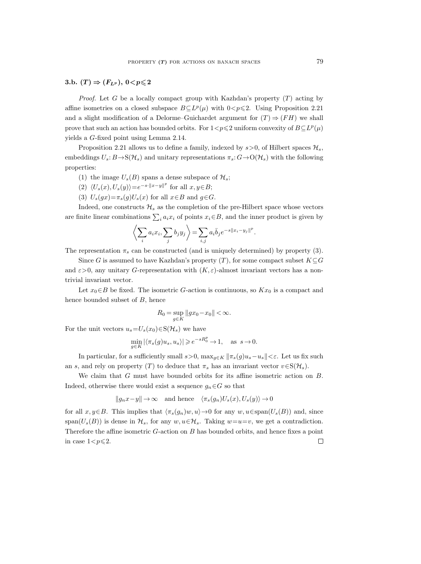### 3.b.  $(T) \Rightarrow (F_{L^p}), 0 < p \leqslant 2$

*Proof.* Let G be a locally compact group with Kazhdan's property  $(T)$  acting by affine isometries on a closed subspace  $B\subseteq L^p(\mu)$  with  $0< p\leq 2$ . Using Proposition 2.21 and a slight modification of a Delorme–Guichardet argument for  $(T) \Rightarrow (FH)$  we shall prove that such an action has bounded orbits. For  $1 < p \leq 2$  uniform convexity of  $B \subseteq L^p(\mu)$ yields a G-fixed point using Lemma 2.14.

Proposition 2.21 allows us to define a family, indexed by  $s > 0$ , of Hilbert spaces  $\mathcal{H}_s$ , embeddings  $U_s: B \to S(\mathcal{H}_s)$  and unitary representations  $\pi_s: G \to O(\mathcal{H}_s)$  with the following properties:

- (1) the image  $U_s(B)$  spans a dense subspace of  $\mathcal{H}_s$ ;
- (2)  $\langle U_s(x), U_s(y)\rangle = e^{-s\cdot||x-y||^p}$  for all  $x, y \in B$ ;
- (3)  $U_s(gx) = \pi_s(g)U_s(x)$  for all  $x \in B$  and  $g \in G$ .

Indeed, one constructs  $\mathcal{H}_s$  as the completion of the pre-Hilbert space whose vectors are finite linear combinations  $\sum_i a_i x_i$  of points  $x_i \in B$ , and the inner product is given by

$$
\left\langle \sum_i a_i x_i, \sum_j b_j y_j \right\rangle = \sum_{i,j} a_i \overline{b}_j e^{-s ||x_i - y_j||^p}.
$$

The representation  $\pi_s$  can be constructed (and is uniquely determined) by property (3).

Since G is assumed to have Kazhdan's property  $(T)$ , for some compact subset  $K \subseteq G$ and  $\varepsilon > 0$ , any unitary G-representation with  $(K, \varepsilon)$ -almost invariant vectors has a nontrivial invariant vector.

Let  $x_0 \in B$  be fixed. The isometric G-action is continuous, so  $Kx_0$  is a compact and hence bounded subset of B, hence

$$
R_0=\sup_{g\in K}\|gx_0-x_0\|<\infty.
$$

For the unit vectors  $u_s=U_s(x_0)\in S(\mathcal{H}_s)$  we have

$$
\min_{g \in K} |\langle \pi_s(g)u_s, u_s \rangle| \geqslant e^{-sR_0^p} \to 1, \quad \text{as } s \to 0.
$$

In particular, for a sufficiently small  $s>0$ ,  $\max_{g\in K} ||\pi_s(g)u_s-u_s||<\varepsilon$ . Let us fix such an s, and rely on property (T) to deduce that  $\pi_s$  has an invariant vector  $v \in S(\mathcal{H}_s)$ .

We claim that G must have bounded orbits for its affine isometric action on B. Indeed, otherwise there would exist a sequence  $g_n \in G$  so that

$$
||g_nx-y|| \to \infty
$$
 and hence  $\langle \pi_s(g_n)U_s(x), U_s(y) \rangle \to 0$ 

for all  $x, y \in B$ . This implies that  $\langle \pi_s(g_n)w, u \rangle \to 0$  for any  $w, u \in \text{span}(U_s(B))$  and, since span( $U_s(B)$ ) is dense in  $\mathcal{H}_s$ , for any  $w, u \in \mathcal{H}_s$ . Taking  $w=u=v$ , we get a contradiction. Therefore the affine isometric G-action on B has bounded orbits, and hence fixes a point in case  $1 < p \leq 2$ .  $\Box$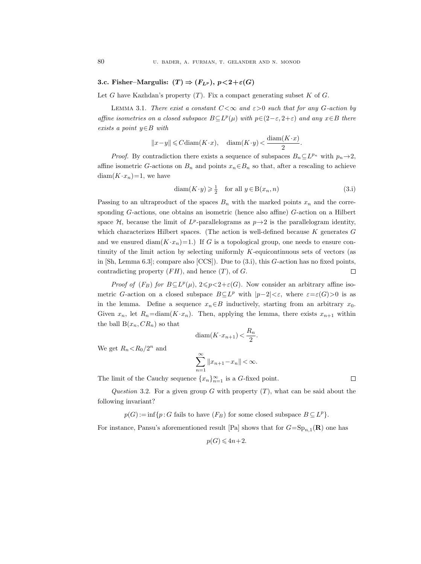## 3.c. Fisher–Margulis:  $(T) \Rightarrow (F_{L^p}), p < 2+\varepsilon(G)$

Let G have Kazhdan's property  $(T)$ . Fix a compact generating subset K of G.

LEMMA 3.1. There exist a constant  $C < \infty$  and  $\varepsilon > 0$  such that for any G-action by affine isometries on a closed subspace  $B\subseteq L^p(\mu)$  with  $p\in (2-\varepsilon, 2+\varepsilon)$  and any  $x\in B$  there exists a point  $y \in B$  with

> $||x-y|| \leq C \text{diam}(K \cdot x), \quad \text{diam}(K \cdot y) < \frac{\text{diam}(K \cdot x)}{2}$  $\frac{1}{2}$ .

*Proof.* By contradiction there exists a sequence of subspaces  $B_n \subseteq L^{p_n}$  with  $p_n \to 2$ , affine isometric G-actions on  $B_n$  and points  $x_n \in B_n$  so that, after a rescaling to achieve  $diam(K \cdot x_n)=1$ , we have

$$
diam(K \cdot y) \geqslant \frac{1}{2} \quad \text{for all } y \in B(x_n, n)
$$
\n
$$
(3.1)
$$

 $\Box$ 

Passing to an ultraproduct of the spaces  $B_n$  with the marked points  $x_n$  and the corresponding G-actions, one obtains an isometric (hence also affine) G-action on a Hilbert space  $H$ , because the limit of  $L^p$ -parallelograms as  $p\rightarrow 2$  is the parallelogram identity, which characterizes Hilbert spaces. (The action is well-defined because  $K$  generates  $G$ and we ensured diam( $K \cdot x_n$ )=1.) If G is a topological group, one needs to ensure continuity of the limit action by selecting uniformly  $K$ -equicontinuous sets of vectors (as in  $[Sh, Lemma 6.3]$ ; compare also  $[CCS]$ ). Due to  $(3.1)$ , this  $G$ -action has no fixed points, contradicting property  $(FH)$ , and hence  $(T)$ , of  $G$ .  $\Box$ 

*Proof of*  $(F_B)$  for  $B \subseteq L^p(\mu)$ ,  $2 \leq p < 2+\varepsilon(G)$ . Now consider an arbitrary affine isometric G-action on a closed subspace  $B\subseteq L^p$  with  $|p-2|<\varepsilon$ , where  $\varepsilon=\varepsilon(G)>0$  is as in the lemma. Define a sequence  $x_n \in B$  inductively, starting from an arbitrary  $x_0$ . Given  $x_n$ , let  $R_n = \text{diam}(K \cdot x_n)$ . Then, applying the lemma, there exists  $x_{n+1}$  within the ball  $B(x_n, CR_n)$  so that

$$
\operatorname{diam}(K \cdot x_{n+1}) < \frac{R_n}{2}.
$$

We get  $R_n < R_0/2^n$  and

$$
\sum_{n=1}^{\infty} ||x_{n+1} - x_n|| < \infty.
$$

The limit of the Cauchy sequence  $\{x_n\}_{n=1}^{\infty}$  is a G-fixed point.

Question 3.2. For a given group G with property  $(T)$ , what can be said about the following invariant?

 $p(G) := \inf\{p : G \text{ fails to have } (F_B) \text{ for some closed subspace } B \subseteq L^p\}.$ 

For instance, Pansu's aforementioned result [Pa] shows that for  $G = \mathrm{Sp}_{n,1}(\mathbf{R})$  one has

$$
p(G) \leqslant 4n + 2.
$$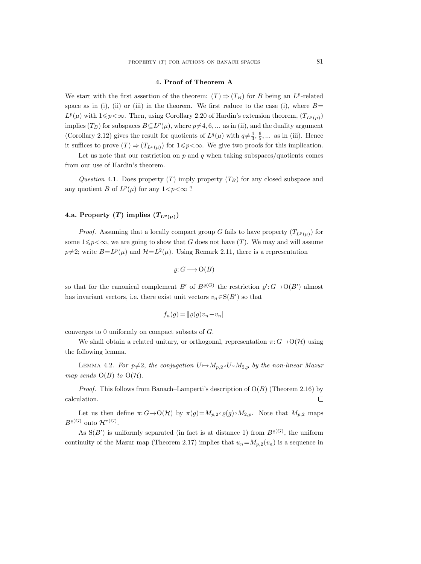### 4. Proof of Theorem A

We start with the first assertion of the theorem:  $(T) \Rightarrow (T_B)$  for B being an  $L^p$ -related space as in (i), (ii) or (iii) in the theorem. We first reduce to the case (i), where  $B=$  $L^p(\mu)$  with  $1 \leq p < \infty$ . Then, using Corollary 2.20 of Hardin's extension theorem,  $(T_{L^p(\mu)})$ implies  $(T_B)$  for subspaces  $B \subseteq L^p(\mu)$ , where  $p \neq 4, 6, ...$  as in (ii), and the duality argument (Corollary 2.12) gives the result for quotients of  $L^q(\mu)$  with  $q \neq \frac{4}{3}, \frac{6}{5}, \dots$  as in (iii). Hence it suffices to prove  $(T) \Rightarrow (T_{L^p(\mu)})$  for  $1 \leq p < \infty$ . We give two proofs for this implication.

Let us note that our restriction on  $p$  and  $q$  when taking subspaces/quotients comes from our use of Hardin's theorem.

Question 4.1. Does property  $(T)$  imply property  $(T_B)$  for any closed subspace and any quotient B of  $L^p(\mu)$  for any  $1 < p < \infty$ ?

## 4.a. Property (T) implies  $(T_{L^p(\mu)})$

*Proof.* Assuming that a locally compact group G fails to have property  $(T_{L^p(\mu)})$  for some  $1 \leqslant p < \infty$ , we are going to show that G does not have  $(T)$ . We may and will assume  $p\neq 2$ ; write  $B=L^p(\mu)$  and  $\mathcal{H}=L^2(\mu)$ . Using Remark 2.11, there is a representation

$$
\varrho: G \longrightarrow \mathcal{O}(B)
$$

so that for the canonical complement  $B'$  of  $B^{\varrho(G)}$  the restriction  $\varrho' : G \to O(B')$  almost has invariant vectors, i.e. there exist unit vectors  $v_n \in S(B')$  so that

$$
f_n(g) = ||\varrho(g)v_n - v_n||
$$

converges to 0 uniformly on compact subsets of G.

We shall obtain a related unitary, or orthogonal, representation  $\pi: G \to O(\mathcal{H})$  using the following lemma.

LEMMA 4.2. For  $p\neq 2$ , the conjugation  $U \rightarrow M_{p,2} \circ U \circ M_{2,p}$  by the non-linear Mazur map sends  $O(B)$  to  $O(H)$ .

*Proof.* This follows from Banach–Lamperti's description of  $O(B)$  (Theorem 2.16) by calculation.  $\Box$ 

Let us then define  $\pi: G \to O(\mathcal{H})$  by  $\pi(g)=M_{p,2} \circ \varrho(g) \circ M_{2,p}$ . Note that  $M_{p,2}$  maps  $B^{\varrho(G)}$  onto  $\mathcal{H}^{\pi(G)}$ .

As  $S(B')$  is uniformly separated (in fact is at distance 1) from  $B<sup>\varrho(G)</sup>$ , the uniform continuity of the Mazur map (Theorem 2.17) implies that  $u_n=M_{p,2}(v_n)$  is a sequence in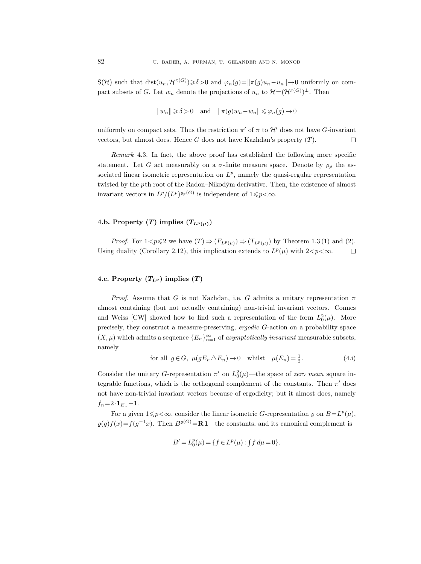S(H) such that  $dist(u_n, \mathcal{H}^{\pi(G)}) \ge \delta > 0$  and  $\varphi_n(g) = ||\pi(g)u_n - u_n|| \to 0$  uniformly on compact subsets of G. Let  $w_n$  denote the projections of  $u_n$  to  $\mathcal{H}=(\mathcal{H}^{\pi(G)})^{\perp}$ . Then

$$
||w_n|| \ge \delta > 0
$$
 and  $||\pi(g)w_n - w_n|| \le \varphi_n(g) \to 0$ 

uniformly on compact sets. Thus the restriction  $\pi'$  of  $\pi$  to  $\mathcal{H}'$  does not have G-invariant vectors, but almost does. Hence  $G$  does not have Kazhdan's property  $(T)$ .  $\Box$ 

Remark 4.3. In fact, the above proof has established the following more specific statement. Let G act measurably on a  $\sigma$ -finite measure space. Denote by  $\varrho_p$  the associated linear isometric representation on  $L^p$ , namely the quasi-regular representation twisted by the pth root of the Radon–Nikodým derivative. Then, the existence of almost invariant vectors in  $L^p/(L^p)^{e_p(G)}$  is independent of  $1 \leq p < \infty$ .

# 4.b. Property (T) implies  $(T_{L^p(\mu)})$

*Proof.* For  $1 < p \leq 2$  we have  $(T) \Rightarrow (F_{L^p(\mu)}) \Rightarrow (T_{L^p(\mu)})$  by Theorem 1.3 (1) and (2). Using duality (Corollary 2.12), this implication extends to  $L^p(\mu)$  with  $2 < p < \infty$ .  $\Box$ 

## 4.c. Property  $(T_{L^p})$  implies  $(T)$

*Proof.* Assume that G is not Kazhdan, i.e. G admits a unitary representation  $\pi$ almost containing (but not actually containing) non-trivial invariant vectors. Connes and Weiss [CW] showed how to find such a representation of the form  $L_0^2(\mu)$ . More precisely, they construct a measure-preserving, ergodic G-action on a probability space  $(X, \mu)$  which admits a sequence  ${E_n}_{n=1}^{\infty}$  of asymptotically invariant measurable subsets, namely

for all 
$$
g \in G
$$
,  $\mu(gE_n \triangle E_n) \to 0$  whilst  $\mu(E_n) = \frac{1}{2}$ . (4.1)

Consider the unitary G-representation  $\pi'$  on  $L_0^2(\mu)$ —the space of zero mean square integrable functions, which is the orthogonal complement of the constants. Then  $\pi'$  does not have non-trivial invariant vectors because of ergodicity; but it almost does, namely  $f_n=2\cdot{\bf 1}_{E_n}-1.$ 

For a given  $1 \leq p < \infty$ , consider the linear isometric G-representation  $\varrho$  on  $B = L^p(\mu)$ ,  $\varrho(g)f(x) = f(g^{-1}x)$ . Then  $B^{\varrho(G)} = \mathbf{R}1$ —the constants, and its canonical complement is

$$
B' = L_0^p(\mu) = \{ f \in L^p(\mu) : \int f \, d\mu = 0 \}.
$$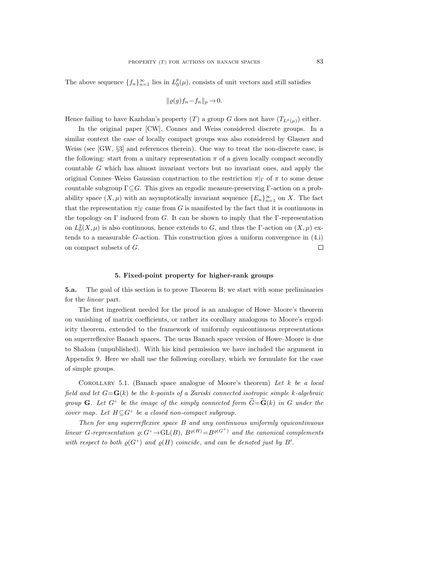The above sequence  $\{f_n\}_{n=1}^{\infty}$  lies in  $L_0^p(\mu)$ , consists of unit vectors and still satisfies

$$
\|\varrho(g)f_n - f_n\|_p \to 0.
$$

Hence failing to have Kazhdan's property (T) a group G does not have  $(T_{L^p(\mu)})$  either.

In the original paper [CW], Connes and Weiss considered discrete groups. In a similar context the case of locally compact groups was also considered by Glasner and Weiss (see [GW, §3] and references therein). One way to treat the non-discrete case, is the following: start from a unitary representation  $\pi$  of a given locally compact secondly countable G which has almost invariant vectors but no invariant ones, and apply the original Connes–Weiss Gaussian construction to the restriction  $\pi|_{\Gamma}$  of  $\pi$  to some dense countable subgroup  $\Gamma \subseteq G$ . This gives an ergodic measure-preserving Γ-action on a probability space  $(X, \mu)$  with an asymptotically invariant sequence  $\{E_n\}_{n=1}^{\infty}$  on X. The fact that the representation  $\pi|_{\Gamma}$  came from G is manifested by the fact that it is continuous in the topology on  $\Gamma$  induced from G. It can be shown to imply that the  $\Gamma$ -representation on  $L_0^2(X,\mu)$  is also continuous, hence extends to G, and thus the  $\Gamma$ -action on  $(X,\mu)$  extends to a measurable G-action. This construction gives a uniform convergence in (4.i) on compact subsets of G.  $\Box$ 

### 5. Fixed-point property for higher-rank groups

5.a. The goal of this section is to prove Theorem B; we start with some preliminaries for the linear part.

The first ingredient needed for the proof is an analogue of Howe–Moore's theorem on vanishing of matrix coefficients, or rather its corollary analogous to Moore's ergodicity theorem, extended to the framework of uniformly equicontinuous representations on superreflexive Banach spaces. The ucus Banach space version of Howe–Moore is due to Shalom (unpublished). With his kind permission we have included the argument in Appendix 9. Here we shall use the following corollary, which we formulate for the case of simple groups.

COROLLARY 5.1. (Banach space analogue of Moore's theorem) Let  $k$  be a local field and let  $G = G(k)$  be the k-points of a Zariski connected isotropic simple k-algebraic group **G**. Let  $G^+$  be the image of the simply connected form  $G = G(k)$  in G under the cover map. Let  $H \subseteq G^+$  be a closed non-compact subgroup.

Then for any superreflexive space B and any continuous uniformly equicontinuous linear G-representation  $\varrho: G^+ \to GL(B)$ ,  $B^{\varrho(H)} = B^{\varrho(G^+)}$  and the canonical complements with respect to both  $\varrho(G^+)$  and  $\varrho(H)$  coincide, and can be denoted just by B'.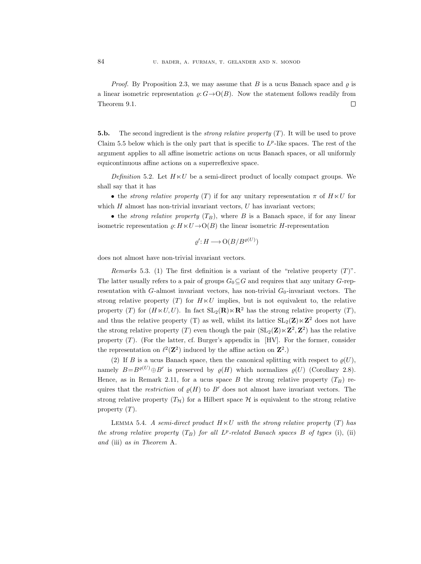*Proof.* By Proposition 2.3, we may assume that B is a ucus Banach space and  $\rho$  is a linear isometric representation  $\rho: G \rightarrow O(B)$ . Now the statement follows readily from Theorem 9.1.  $\Box$ 

5.b. The second ingredient is the *strong relative property*  $(T)$ . It will be used to prove Claim 5.5 below which is the only part that is specific to  $L^p$ -like spaces. The rest of the argument applies to all affine isometric actions on ucus Banach spaces, or all uniformly equicontinuous affine actions on a superreflexive space.

Definition 5.2. Let  $H \ltimes U$  be a semi-direct product of locally compact groups. We shall say that it has

• the *strong relative property* (T) if for any unitary representation  $\pi$  of  $H \times U$  for which  $H$  almost has non-trivial invariant vectors,  $U$  has invariant vectors;

• the *strong relative property*  $(T_B)$ , where B is a Banach space, if for any linear isometric representation  $\rho: H \times U \to O(B)$  the linear isometric H-representation

$$
\varrho': H \longrightarrow \mathcal{O}(B/B^{\varrho(U)})
$$

does not almost have non-trivial invariant vectors.

Remarks 5.3. (1) The first definition is a variant of the "relative property  $(T)$ ". The latter usually refers to a pair of groups  $G_0 \subseteq G$  and requires that any unitary G-representation with G-almost invariant vectors, has non-trivial  $G_0$ -invariant vectors. The strong relative property (T) for  $H \times U$  implies, but is not equivalent to, the relative property (T) for  $(H \ltimes U, U)$ . In fact  $SL_2(\mathbf{R}) \ltimes \mathbf{R}^2$  has the strong relative property (T), and thus the relative property (T) as well, whilst its lattice  $SL_2(\mathbf{Z}) \ltimes \mathbf{Z}^2$  does not have the strong relative property (T) even though the pair  $(SL_2(\mathbf{Z}) \ltimes \mathbf{Z}^2, \mathbf{Z}^2)$  has the relative property  $(T)$ . (For the latter, cf. Burger's appendix in [HV]. For the former, consider the representation on  $\ell^2(\mathbf{Z}^2)$  induced by the affine action on  $\mathbf{Z}^2$ .)

(2) If B is a ucus Banach space, then the canonical splitting with respect to  $\rho(U)$ , namely  $B=B^{\varrho(U)}\oplus B'$  is preserved by  $\varrho(H)$  which normalizes  $\varrho(U)$  (Corollary 2.8). Hence, as in Remark 2.11, for a ucus space B the strong relative property  $(T_B)$  requires that the restriction of  $\rho(H)$  to B' does not almost have invariant vectors. The strong relative property  $(T_H)$  for a Hilbert space H is equivalent to the strong relative property  $(T)$ .

LEMMA 5.4. A semi-direct product  $H \times U$  with the strong relative property  $(T)$  has the strong relative property  $(T_B)$  for all  $L^p$ -related Banach spaces B of types (i), (ii) and (iii) as in Theorem A.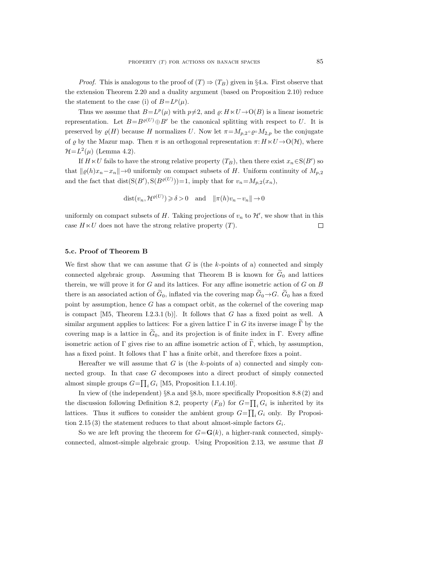*Proof.* This is analogous to the proof of  $(T) \Rightarrow (T_B)$  given in §4.a. First observe that the extension Theorem 2.20 and a duality argument (based on Proposition 2.10) reduce the statement to the case (i) of  $B = L^p(\mu)$ .

Thus we assume that  $B = L^p(\mu)$  with  $p \neq 2$ , and  $\varrho: H \ltimes U \to O(B)$  is a linear isometric representation. Let  $B=B^{\varrho(U)}\oplus B'$  be the canonical splitting with respect to U. It is preserved by  $\varrho(H)$  because H normalizes U. Now let  $\pi = M_{p,2} \circ \varrho \circ M_{2,p}$  be the conjugate of  $\varrho$  by the Mazur map. Then  $\pi$  is an orthogonal representation  $\pi: H \ltimes U \to O(\mathcal{H})$ , where  $\mathcal{H} = L^2(\mu)$  (Lemma 4.2).

If  $H \ltimes U$  fails to have the strong relative property  $(T_B)$ , then there exist  $x_n \in S(B')$  so that  $\|\varrho(h)x_n-x_n\|$  → 0 uniformly on compact subsets of H. Uniform continuity of  $M_{p,2}$ and the fact that  $dist(S(B'), S(B^{\varrho(U)}))=1$ , imply that for  $v_n = M_{p,2}(x_n)$ ,

$$
dist(v_n, \mathcal{H}^{\varrho(U)}) \ge \delta > 0
$$
 and  $\|\pi(h)v_n - v_n\| \to 0$ 

uniformly on compact subsets of H. Taking projections of  $v_n$  to  $\mathcal{H}'$ , we show that in this case  $H \ltimes U$  does not have the strong relative property  $(T)$ .  $\Box$ 

### 5.c. Proof of Theorem B

We first show that we can assume that  $G$  is (the  $k$ -points of a) connected and simply connected algebraic group. Assuming that Theorem B is known for  $G_0$  and lattices therein, we will prove it for  $G$  and its lattices. For any affine isometric action of  $G$  on  $B$ there is an associated action of  $\tilde{G}_0$ , inflated via the covering map  $\tilde{G}_0 \rightarrow G$ .  $\tilde{G}_0$  has a fixed point by assumption, hence  $G$  has a compact orbit, as the cokernel of the covering map is compact  $[M5, Theorem I.2.3.1 (b)].$  It follows that G has a fixed point as well. A similar argument applies to lattices: For a given lattice  $\Gamma$  in G its inverse image  $\Gamma$  by the covering map is a lattice in  $\tilde{G}_0$ , and its projection is of finite index in Γ. Every affine isometric action of  $\Gamma$  gives rise to an affine isometric action of  $\Gamma$ , which, by assumption, has a fixed point. It follows that  $\Gamma$  has a finite orbit, and therefore fixes a point.

Hereafter we will assume that  $G$  is (the k-points of a) connected and simply connected group. In that case G decomposes into a direct product of simply connected almost simple groups  $G = \prod_i G_i$  [M5, Proposition I.1.4.10].

In view of (the independent) §8.a and §8.b, more specifically Proposition 8.8 (2) and the discussion following Definition 8.2, property  $(F_B)$  for  $G = \prod_i G_i$  is inherited by its lattices. Thus it suffices to consider the ambient group  $G = \prod_i G_i$  only. By Proposition 2.15 (3) the statement reduces to that about almost-simple factors  $G_i$ .

So we are left proving the theorem for  $G = \mathbf{G}(k)$ , a higher-rank connected, simplyconnected, almost-simple algebraic group. Using Proposition 2.13, we assume that B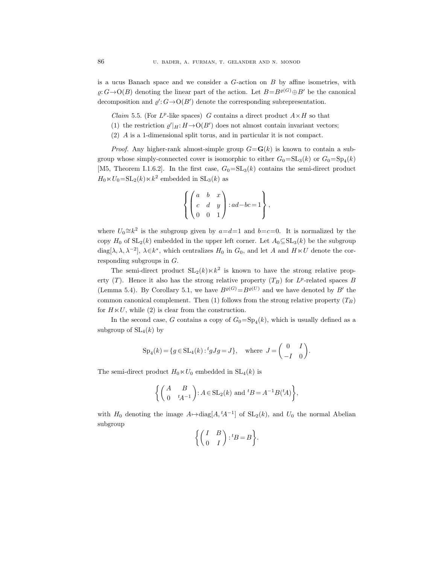is a ucus Banach space and we consider a  $G$ -action on  $B$  by affine isometries, with  $\omega: G \to O(B)$  denoting the linear part of the action. Let  $B=B^{\rho(G)}\oplus B'$  be the canonical decomposition and  $\varrho' : G \to O(B')$  denote the corresponding subrepresentation.

- *Claim* 5.5. (For  $L^p$ -like spaces) G contains a direct product  $A \times H$  so that
- (1) the restriction  $\varrho'|_H: H \to O(B')$  does not almost contain invariant vectors;
- (2) A is a 1-dimensional split torus, and in particular it is not compact.

*Proof.* Any higher-rank almost-simple group  $G = G(k)$  is known to contain a subgroup whose simply-connected cover is isomorphic to either  $G_0 = SL_3(k)$  or  $G_0 = Sp_4(k)$ [M5, Theorem I.1.6.2]. In the first case,  $G_0 = SL_3(k)$  contains the semi-direct product  $H_0 \ltimes U_0 = SL_2(k) \ltimes k^2$  embedded in  $SL_3(k)$  as

$$
\left\{ \begin{pmatrix} a & b & x \\ c & d & y \\ 0 & 0 & 1 \end{pmatrix} : ad-bc = 1 \right\},\,
$$

where  $U_0 \cong k^2$  is the subgroup given by  $a = d = 1$  and  $b = c = 0$ . It is normalized by the copy  $H_0$  of  $SL_2(k)$  embedded in the upper left corner. Let  $A_0 \subseteq SL_3(k)$  be the subgroup diag[ $\lambda, \lambda, \lambda^{-2}$ ],  $\lambda \in k^*$ , which centralizes  $H_0$  in  $G_0$ , and let A and  $H \ltimes U$  denote the corresponding subgroups in  $G$ .

The semi-direct product  $SL_2(k) \times k^2$  is known to have the strong relative property (T). Hence it also has the strong relative property  $(T_B)$  for  $L^p$ -related spaces B (Lemma 5.4). By Corollary 5.1, we have  $B^{\varrho(G)} = B^{\varrho(U)}$  and we have denoted by B' the common canonical complement. Then (1) follows from the strong relative property  $(T_B)$ for  $H \ltimes U$ , while (2) is clear from the construction.

In the second case, G contains a copy of  $G_0 = \mathrm{Sp}_4(k)$ , which is usually defined as a subgroup of  $SL_4(k)$  by

$$
Sp_4(k) = \{ g \in SL_4(k) : {}^t g J g = J \}, \text{ where } J = \begin{pmatrix} 0 & I \\ -I & 0 \end{pmatrix}.
$$

The semi-direct product  $H_0 \ltimes U_0$  embedded in  $SL_4(k)$  is

$$
\left\{ \begin{pmatrix} A & B \\ 0 & {}^t\!A^{-1} \end{pmatrix} : A \in \text{SL}_2(k) \text{ and } {}^t\!B = A^{-1}B(^t\!A) \right\},
$$

with  $H_0$  denoting the image  $A \mapsto diag[A, {}^t A^{-1}]$  of  $SL_2(k)$ , and  $U_0$  the normal Abelian subgroup

$$
\left\{ \begin{pmatrix} I & B \\ 0 & I \end{pmatrix} : {}^{t}B = B \right\}.
$$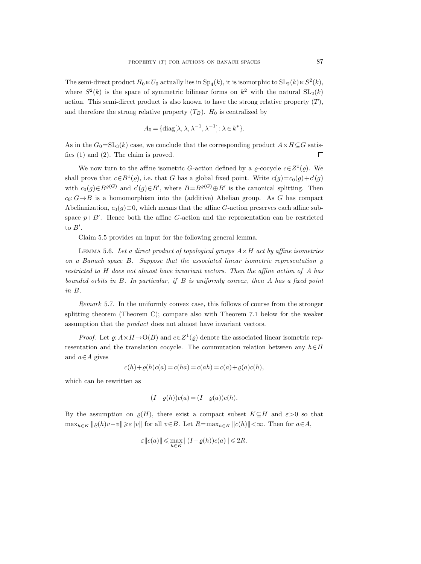The semi-direct product  $H_0 \ltimes U_0$  actually lies in  $Sp_4(k)$ , it is isomorphic to  $SL_2(k) \ltimes S^2(k)$ , where  $S^2(k)$  is the space of symmetric bilinear forms on  $k^2$  with the natural  $SL_2(k)$ action. This semi-direct product is also known to have the strong relative property  $(T)$ , and therefore the strong relative property  $(T_B)$ .  $H_0$  is centralized by

$$
A_0 = \{ \text{diag}[\lambda, \lambda, \lambda^{-1}, \lambda^{-1}] : \lambda \in k^* \}.
$$

As in the  $G_0=\mathrm{SL}_3(k)$  case, we conclude that the corresponding product  $A\times H\subseteq G$  satisfies (1) and (2). The claim is proved.  $\Box$ 

We now turn to the affine isometric G-action defined by a  $\varrho$ -cocycle  $c \in Z^1(\varrho)$ . We shall prove that  $c \in B^1(\rho)$ , i.e. that G has a global fixed point. Write  $c(g) = c_0(g) + c'(g)$ with  $c_0(g) \in B^{\varrho(G)}$  and  $c'(g) \in B'$ , where  $B=B^{\varrho(G)} \oplus B'$  is the canonical splitting. Then  $c_0: G \rightarrow B$  is a homomorphism into the (additive) Abelian group. As G has compact Abelianization,  $c_0(g) \equiv 0$ , which means that the affine G-action preserves each affine subspace  $p+B'$ . Hence both the affine G-action and the representation can be restricted to  $B'$ .

Claim 5.5 provides an input for the following general lemma.

LEMMA 5.6. Let a direct product of topological groups  $A \times H$  act by affine isometries on a Banach space B. Suppose that the associated linear isometric representation  $\rho$ restricted to H does not almost have invariant vectors. Then the affine action of A has bounded orbits in  $B$ . In particular, if  $B$  is uniformly convex, then  $A$  has a fixed point in B.

Remark 5.7. In the uniformly convex case, this follows of course from the stronger splitting theorem (Theorem C); compare also with Theorem 7.1 below for the weaker assumption that the product does not almost have invariant vectors.

*Proof.* Let  $\varrho: A \times H \to O(B)$  and  $c \in Z^1(\varrho)$  denote the associated linear isometric representation and the translation cocycle. The commutation relation between any  $h \in H$ and  $a \in A$  gives

$$
c(h) + \varrho(h)c(a) = c(ha) = c(ah) = c(a) + \varrho(a)c(h),
$$

which can be rewritten as

$$
(I - \varrho(h))c(a) = (I - \varrho(a))c(h).
$$

By the assumption on  $\varrho(H)$ , there exist a compact subset  $K\subseteq H$  and  $\varepsilon>0$  so that  $\max_{h\in K} ||\varrho(h)v-v|| \geq \varepsilon ||v||$  for all  $v\in B$ . Let  $R=\max_{h\in K} ||c(h)|| < \infty$ . Then for  $a\in A$ ,

$$
\varepsilon\|c(a)\|\leqslant \max_{h\in K}\|(I-\varrho(h))c(a)\|\leqslant 2R.
$$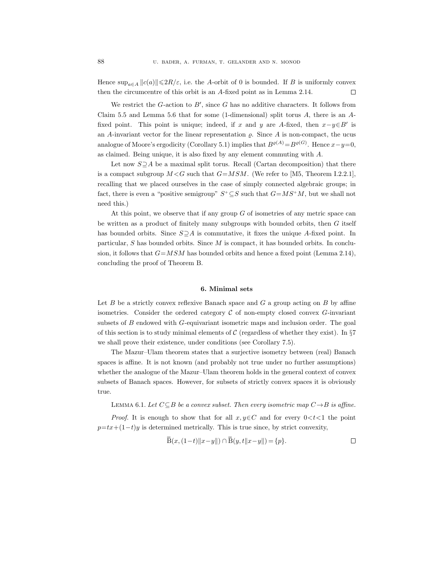Hence  $\sup_{a\in A} ||c(a)|| \leq 2R/\varepsilon$ , i.e. the A-orbit of 0 is bounded. If B is uniformly convex then the circumcentre of this orbit is an A-fixed point as in Lemma 2.14.  $\Box$ 

We restrict the  $G$ -action to  $B'$ , since  $G$  has no additive characters. It follows from Claim 5.5 and Lemma 5.6 that for some (1-dimensional) split torus  $A$ , there is an  $A$ fixed point. This point is unique; indeed, if x and y are A-fixed, then  $x-y\in B'$  is an A-invariant vector for the linear representation  $\rho$ . Since A is non-compact, the ucus analogue of Moore's ergodicity (Corollary 5.1) implies that  $B^{\varrho(A)} = B^{\varrho(G)}$ . Hence  $x - y = 0$ , as claimed. Being unique, it is also fixed by any element commuting with A.

Let now  $S \supseteq A$  be a maximal split torus. Recall (Cartan decomposition) that there is a compact subgroup  $M < G$  such that  $G = MSM$ . (We refer to [M5, Theorem I.2.2.1], recalling that we placed ourselves in the case of simply connected algebraic groups; in fact, there is even a "positive semigroup"  $S^+\subseteq S$  such that  $G=MS^+M$ , but we shall not need this.)

At this point, we observe that if any group G of isometries of any metric space can be written as a product of finitely many subgroups with bounded orbits, then G itself has bounded orbits. Since  $S \supseteq A$  is commutative, it fixes the unique A-fixed point. In particular, S has bounded orbits. Since M is compact, it has bounded orbits. In conclusion, it follows that  $G=MSM$  has bounded orbits and hence a fixed point (Lemma 2.14), concluding the proof of Theorem B.

#### 6. Minimal sets

Let B be a strictly convex reflexive Banach space and  $G$  a group acting on  $B$  by affine isometries. Consider the ordered category  $\mathcal C$  of non-empty closed convex  $G$ -invariant subsets of  $B$  endowed with  $G$ -equivariant isometric maps and inclusion order. The goal of this section is to study minimal elements of C (regardless of whether they exist). In  $\S7$ we shall prove their existence, under conditions (see Corollary 7.5).

The Mazur–Ulam theorem states that a surjective isometry between (real) Banach spaces is affine. It is not known (and probably not true under no further assumptions) whether the analogue of the Mazur–Ulam theorem holds in the general context of convex subsets of Banach spaces. However, for subsets of strictly convex spaces it is obviously true.

LEMMA 6.1. Let  $C \subseteq B$  be a convex subset. Then every isometric map  $C \rightarrow B$  is affine.

*Proof.* It is enough to show that for all  $x, y \in C$  and for every  $0 < t < 1$  the point  $p=tx+(1-t)y$  is determined metrically. This is true since, by strict convexity,

$$
\bar{B}(x,(1-t)\|x-y\|) \cap \bar{B}(y,t\|x-y\|) = \{p\}.
$$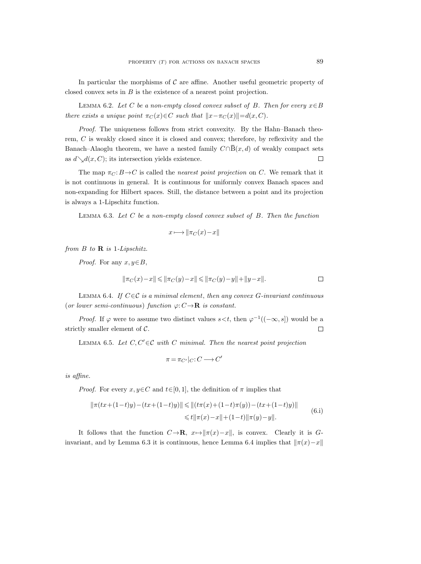In particular the morphisms of  $C$  are affine. Another useful geometric property of closed convex sets in B is the existence of a nearest point projection.

LEMMA 6.2. Let C be a non-empty closed convex subset of B. Then for every  $x \in B$ there exists a unique point  $\pi_C(x) \in C$  such that  $||x-\pi_C(x)||=d(x, C)$ .

Proof. The uniqueness follows from strict convexity. By the Hahn–Banach theorem, C is weakly closed since it is closed and convex; therefore, by reflexivity and the Banach–Alaoglu theorem, we have a nested family  $C \cap \overline{B}(x, d)$  of weakly compact sets as  $d\setminus d(x, C)$ ; its intersection yields existence.  $\Box$ 

The map  $\pi_{C}: B \rightarrow C$  is called the *nearest point projection* on C. We remark that it is not continuous in general. It is continuous for uniformly convex Banach spaces and non-expanding for Hilbert spaces. Still, the distance between a point and its projection is always a 1-Lipschitz function.

LEMMA 6.3. Let  $C$  be a non-empty closed convex subset of  $B$ . Then the function

$$
x \longmapsto \|\pi_C(x) - x\|
$$

from  $B$  to  $\bf{R}$  is 1-Lipschitz.

*Proof.* For any  $x, y \in B$ ,

$$
\Vert \pi_C(x) - x \Vert \leqslant \Vert \pi_C(y) - x \Vert \leqslant \Vert \pi_C(y) - y \Vert + \Vert y - x \Vert. \qquad \qquad \Box
$$

LEMMA 6.4. If  $C \in \mathcal{C}$  is a minimal element, then any convex G-invariant continuous (or lower semi-continuous) function  $\varphi: C \to \mathbf{R}$  is constant.

*Proof.* If  $\varphi$  were to assume two distinct values  $s < t$ , then  $\varphi^{-1}((-\infty, s])$  would be a strictly smaller element of C.  $\Box$ 

LEMMA 6.5. Let  $C, C' \in \mathcal{C}$  with C minimal. Then the nearest point projection

$$
\pi\,{=}\,\pi_{C'}|_C{:}\,C\,{\longrightarrow}\,C'
$$

is affine.

*Proof.* For every  $x, y \in C$  and  $t \in [0, 1]$ , the definition of  $\pi$  implies that

$$
\|\pi(tx+(1-t)y)-(tx+(1-t)y)\| \le \|(t\pi(x)+(1-t)\pi(y))-(tx+(1-t)y)\|
$$
  

$$
\le t\|\pi(x)-x\|+(1-t)\|\pi(y)-y\|.
$$
 (6.1)

It follows that the function  $C \rightarrow \mathbf{R}$ ,  $x \mapsto ||\pi(x)-x||$ , is convex. Clearly it is Ginvariant, and by Lemma 6.3 it is continuous, hence Lemma 6.4 implies that  $\|\pi(x)-x\|$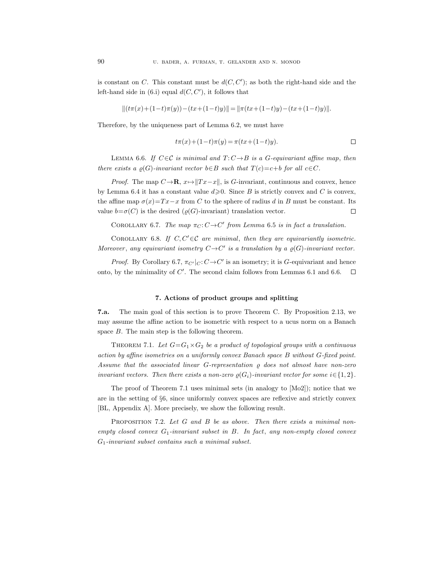is constant on C. This constant must be  $d(C, C')$ ; as both the right-hand side and the left-hand side in  $(6.i)$  equal  $d(C, C')$ , it follows that

$$
||(t\pi(x)+(1-t)\pi(y))-(tx+(1-t)y)||=||\pi(tx+(1-t)y)-(tx+(1-t)y)||.
$$

Therefore, by the uniqueness part of Lemma 6.2, we must have

$$
t\pi(x) + (1-t)\pi(y) = \pi(tx + (1-t)y).
$$

LEMMA 6.6. If  $C \in \mathcal{C}$  is minimal and  $T: C \rightarrow B$  is a G-equivariant affine map, then there exists a  $\varrho(G)$ -invariant vector  $b \in B$  such that  $T(c) = c + b$  for all  $c \in C$ .

*Proof.* The map  $C \rightarrow \mathbf{R}$ ,  $x \mapsto ||Tx - x||$ , is G-invariant, continuous and convex, hence by Lemma 6.4 it has a constant value  $d \geqslant 0$ . Since B is strictly convex and C is convex, the affine map  $\sigma(x)=Tx-x$  from C to the sphere of radius d in B must be constant. Its value  $b = \sigma(C)$  is the desired ( $\varrho(G)$ -invariant) translation vector.  $\Box$ 

COROLLARY 6.7. The map  $\pi_C: C \rightarrow C'$  from Lemma 6.5 is in fact a translation.

COROLLARY 6.8. If  $C, C' \in \mathcal{C}$  are minimal, then they are equivariantly isometric. Moreover, any equivariant isometry  $C \rightarrow C'$  is a translation by a  $\varrho(G)$ -invariant vector.

*Proof.* By Corollary 6.7,  $\pi_{C'}|_C: C \to C'$  is an isometry; it is G-equivariant and hence onto, by the minimality of  $C'$ . The second claim follows from Lemmas 6.1 and 6.6.  $\Box$ 

### 7. Actions of product groups and splitting

7.a. The main goal of this section is to prove Theorem C. By Proposition 2.13, we may assume the affine action to be isometric with respect to a ucus norm on a Banach space  $B$ . The main step is the following theorem.

THEOREM 7.1. Let  $G = G_1 \times G_2$  be a product of topological groups with a continuous action by affine isometries on a uniformly convex Banach space B without G-fixed point. Assume that the associated linear  $G$ -representation  $\rho$  does not almost have non-zero invariant vectors. Then there exists a non-zero  $p(G_i)$ -invariant vector for some  $i \in \{1, 2\}$ .

The proof of Theorem 7.1 uses minimal sets (in analogy to [Mo2]); notice that we are in the setting of §6, since uniformly convex spaces are reflexive and strictly convex [BL, Appendix A]. More precisely, we show the following result.

PROPOSITION 7.2. Let G and B be as above. Then there exists a minimal nonempty closed convex  $G_1$ -invariant subset in  $B$ . In fact, any non-empty closed convex  $G_1$ -invariant subset contains such a minimal subset.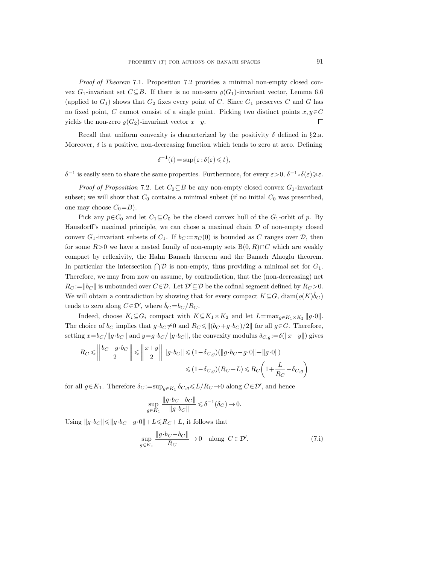Proof of Theorem 7.1. Proposition 7.2 provides a minimal non-empty closed convex G<sub>1</sub>-invariant set  $C \subseteq B$ . If there is no non-zero  $\rho(G_1)$ -invariant vector, Lemma 6.6 (applied to  $G_1$ ) shows that  $G_2$  fixes every point of C. Since  $G_1$  preserves C and G has no fixed point, C cannot consist of a single point. Picking two distinct points  $x, y \in C$ yields the non-zero  $\varrho(G_2)$ -invariant vector  $x-y$ .  $\Box$ 

Recall that uniform convexity is characterized by the positivity  $\delta$  defined in §2.a. Moreover,  $\delta$  is a positive, non-decreasing function which tends to zero at zero. Defining

$$
\delta^{-1}(t) = \sup \{\varepsilon : \delta(\varepsilon) \leq t\},\
$$

 $δ^{-1}$  is easily seen to share the same properties. Furthermore, for every  $ε > 0$ ,  $δ^{-1} \circ δ(ε) ≥ ε$ .

*Proof of Proposition* 7.2. Let  $C_0 \subseteq B$  be any non-empty closed convex  $G_1$ -invariant subset; we will show that  $C_0$  contains a minimal subset (if no initial  $C_0$  was prescribed, one may choose  $C_0 = B$ ).

Pick any  $p \in C_0$  and let  $C_1 \subseteq C_0$  be the closed convex hull of the  $G_1$ -orbit of p. By Hausdorff's maximal principle, we can chose a maximal chain  $\mathcal D$  of non-empty closed convex  $G_1$ -invariant subsets of  $C_1$ . If  $b_C := \pi_C(0)$  is bounded as C ranges over  $\mathcal{D}$ , then for some  $R>0$  we have a nested family of non-empty sets  $\overline{B}(0, R) \cap C$  which are weakly compact by reflexivity, the Hahn–Banach theorem and the Banach–Alaoglu theorem. In particular the intersection  $\bigcap \mathcal{D}$  is non-empty, thus providing a minimal set for  $G_1$ . Therefore, we may from now on assume, by contradiction, that the (non-decreasing) net  $R_C := ||b_C||$  is unbounded over  $C \in \mathcal{D}$ . Let  $\mathcal{D}' \subseteq \mathcal{D}$  be the cofinal segment defined by  $R_C > 0$ . We will obtain a contradiction by showing that for every compact  $K \subseteq G$ ,  $\text{diam}(\varrho(K)\hat{b}_C)$ tends to zero along  $C \in \mathcal{D}'$ , where  $\hat{b}_C = b_C / R_C$ .

Indeed, choose  $K_i \subseteq G_i$  compact with  $K \subseteq K_1 \times K_2$  and let  $L=\max_{g \in K_1 \times K_2} ||g \cdot 0||$ . The choice of  $b_C$  implies that  $g \cdot b_C \neq 0$  and  $R_C \leq ||(b_C + g \cdot b_C)/2||$  for all  $g \in G$ . Therefore, setting  $x=b_C/\|g\cdot b_C\|$  and  $y=g\cdot b_C/\|g\cdot b_C\|$ , the convexity modulus  $\delta_{C,g} := \delta(\|x-y\|)$  gives

$$
R_C \leq \left\| \frac{b_C + g \cdot b_C}{2} \right\| \leq \left\| \frac{x+y}{2} \right\| \left\| g \cdot b_C \right\| \leq (1 - \delta_{C,g})(\left\| g \cdot b_C - g \cdot 0 \right\| + \left\| g \cdot 0 \right\|)
$$
  

$$
\leq (1 - \delta_{C,g})(R_C + L) \leq R_C \left( 1 + \frac{L}{R_C} - \delta_{C,g} \right)
$$

for all  $g \in K_1$ . Therefore  $\delta_C := \sup_{g \in K_1} \delta_{C,g} \le L/R_C \to 0$  along  $C \in \mathcal{D}'$ , and hence

$$
\sup_{g \in K_1} \frac{\|g \cdot b_C - b_C\|}{\|g \cdot b_C\|} \leq \delta^{-1}(\delta_C) \to 0.
$$

Using  $||g \cdot b_C|| \le ||g \cdot b_C - g \cdot 0|| + L \le R_C + L$ , it follows that

$$
\sup_{g \in K_1} \frac{\|g \cdot b_C - b_C\|}{R_C} \to 0 \quad \text{along } C \in \mathcal{D}'.\tag{7.1}
$$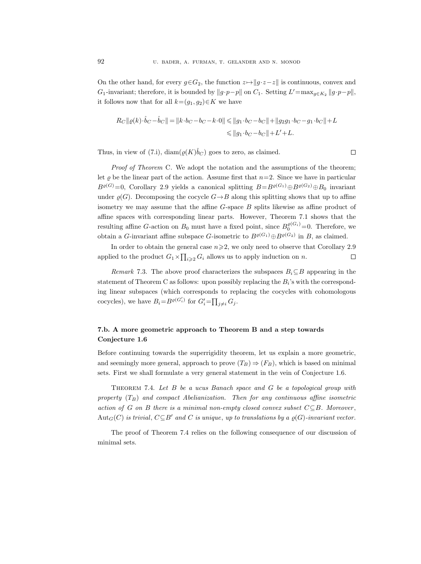On the other hand, for every  $g\in G_2$ , the function  $z\mapsto||g\cdot z-z||$  is continuous, convex and G<sub>1</sub>-invariant; therefore, it is bounded by  $||g \cdot p - p||$  on C<sub>1</sub>. Setting  $L' = \max_{g \in K_2} ||g \cdot p - p||$ , it follows now that for all  $k=(g_1, g_2)\in K$  we have

$$
\begin{aligned} R_C\|\varrho(k)\cdot \hat{b}_C - \hat{b}_C\| & = \|k\cdot b_C - b_C - k\cdot 0\| \le \|g_1\cdot b_C - b_C\| + \|g_2g_1\cdot b_C - g_1\cdot b_C\| + L \\ & \le \|g_1\cdot b_C - b_C\| + L' + L. \end{aligned}
$$

Thus, in view of (7.i),  $\text{diam}(\varrho(K)\hat{b}_C)$  goes to zero, as claimed.

Proof of Theorem C. We adopt the notation and the assumptions of the theorem; let  $\varrho$  be the linear part of the action. Assume first that  $n=2$ . Since we have in particular  $B^{\varrho(G)}=0$ , Corollary 2.9 yields a canonical splitting  $B=B^{\varrho(G_1)}\oplus B^{\varrho(G_2)}\oplus B_0$  invariant under  $\rho(G)$ . Decomposing the cocycle  $G \rightarrow B$  along this splitting shows that up to affine isometry we may assume that the affine  $G$ -space  $B$  splits likewise as affine product of affine spaces with corresponding linear parts. However, Theorem 7.1 shows that the resulting affine G-action on  $B_0$  must have a fixed point, since  $B_0^{\varrho(G_i)}=0$ . Therefore, we obtain a G-invariant affine subspace G-isometric to  $B^{\varrho(G_1)} \oplus B^{\varrho(G_2)}$  in B, as claimed.

In order to obtain the general case  $n\geqslant 2$ , we only need to observe that Corollary 2.9  $\Box$ applied to the product  $G_1 \times \prod_{i \geqslant 2} G_i$  allows us to apply induction on n.

Remark 7.3. The above proof characterizes the subspaces  $B_i \subseteq B$  appearing in the statement of Theorem C as follows: upon possibly replacing the  $B_i$ 's with the corresponding linear subspaces (which corresponds to replacing the cocycles with cohomologous cocycles), we have  $B_i = B^{\varrho(G_i')}$  for  $G_i' = \prod_{j \neq i} G_j$ .

# 7.b. A more geometric approach to Theorem B and a step towards Conjecture 1.6

Before continuing towards the superrigidity theorem, let us explain a more geometric, and seemingly more general, approach to prove  $(T_B) \Rightarrow (F_B)$ , which is based on minimal sets. First we shall formulate a very general statement in the vein of Conjecture 1.6.

Theorem 7.4. Let B be a ucus Banach space and G be a topological group with property  $(T_B)$  and compact Abelianization. Then for any continuous affine isometric action of G on B there is a minimal non-empty closed convex subset  $C \subseteq B$ . Moreover, Aut<sub>G</sub>(C) is trivial,  $C \subseteq B'$  and C is unique, up to translations by a  $\varrho(G)$ -invariant vector.

The proof of Theorem 7.4 relies on the following consequence of our discussion of minimal sets.

$$
\Box
$$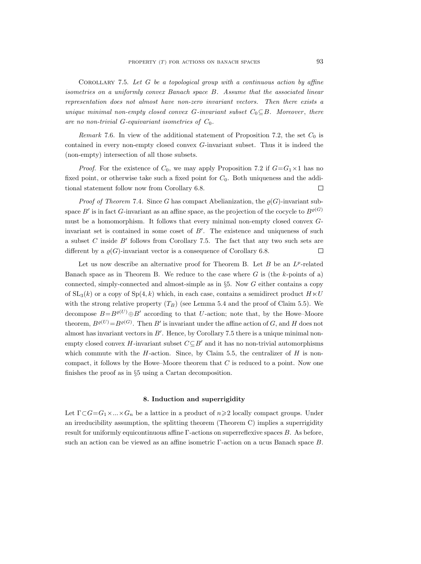COROLLARY 7.5. Let  $G$  be a topological group with a continuous action by affine isometries on a uniformly convex Banach space B. Assume that the associated linear representation does not almost have non-zero invariant vectors. Then there exists a unique minimal non-empty closed convex G-invariant subset  $C_0 \subseteq B$ . Moreover, there are no non-trivial  $G$ -equivariant isometries of  $C_0$ .

Remark 7.6. In view of the additional statement of Proposition 7.2, the set  $C_0$  is contained in every non-empty closed convex G-invariant subset. Thus it is indeed the (non-empty) intersection of all those subsets.

*Proof.* For the existence of  $C_0$ , we may apply Proposition 7.2 if  $G = G_1 \times 1$  has no fixed point, or otherwise take such a fixed point for  $C_0$ . Both uniqueness and the additional statement follow now from Corollary 6.8.  $\Box$ 

*Proof of Theorem* 7.4. Since G has compact Abelianization, the  $\varrho(G)$ -invariant subspace  $B'$  is in fact G-invariant as an affine space, as the projection of the cocycle to  $B^{\varrho(G)}$ must be a homomorphism. It follows that every minimal non-empty closed convex Ginvariant set is contained in some coset of  $B'$ . The existence and uniqueness of such a subset  $C$  inside  $B'$  follows from Corollary 7.5. The fact that any two such sets are different by a  $\rho(G)$ -invariant vector is a consequence of Corollary 6.8.  $\Box$ 

Let us now describe an alternative proof for Theorem B. Let  $B$  be an  $L^p$ -related Banach space as in Theorem B. We reduce to the case where  $G$  is (the k-points of a) connected, simply-connected and almost-simple as in  $\S5$ . Now G either contains a copy of  $SL_3(k)$  or a copy of  $Sp(4, k)$  which, in each case, contains a semidirect product  $H \ltimes U$ with the strong relative property  $(T_B)$  (see Lemma 5.4 and the proof of Claim 5.5). We decompose  $B=B^{\varrho(U)}\oplus B'$  according to that U-action; note that, by the Howe–Moore theorem,  $B^{\varrho(U)} = B^{\varrho(G)}$ . Then B' is invariant under the affine action of G, and H does not almost has invariant vectors in  $B'$ . Hence, by Corollary 7.5 there is a unique minimal nonempty closed convex H-invariant subset  $C\subseteq B'$  and it has no non-trivial automorphisms which commute with the  $H$ -action. Since, by Claim 5.5, the centralizer of  $H$  is noncompact, it follows by the Howe–Moore theorem that  $C$  is reduced to a point. Now one finishes the proof as in §5 using a Cartan decomposition.

### 8. Induction and superrigidity

Let  $\Gamma \subset G = G_1 \times ... \times G_n$  be a lattice in a product of  $n \geq 2$  locally compact groups. Under an irreducibility assumption, the splitting theorem (Theorem C) implies a superrigidity result for uniformly equicontinuous affine Γ-actions on superreflexive spaces B. As before, such an action can be viewed as an affine isometric Γ-action on a ucus Banach space B.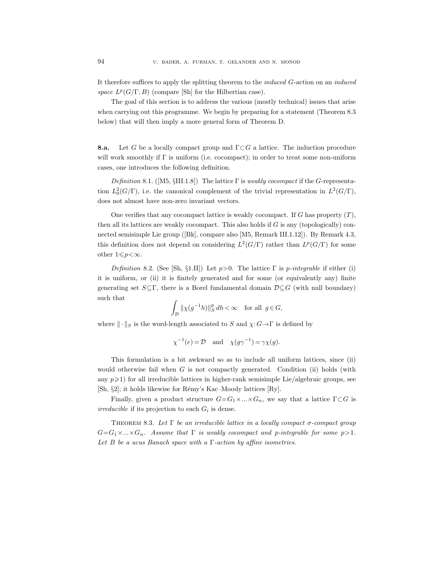It therefore suffices to apply the splitting theorem to the induced G-action on an induced space  $L^p(G/\Gamma, B)$  (compare [Sh] for the Hilbertian case).

The goal of this section is to address the various (mostly technical) issues that arise when carrying out this programme. We begin by preparing for a statement (Theorem 8.3) below) that will then imply a more general form of Theorem D.

**8.a.** Let G be a locally compact group and  $\Gamma \subset G$  a lattice. The induction procedure will work smoothly if Γ is uniform (i.e. cocompact); in order to treat some non-uniform cases, one introduces the following definition.

Definition 8.1. ([M5, §III.1.8]) The lattice  $\Gamma$  is weakly cocompact if the G-representation  $L_0^2(G/\Gamma)$ , i.e. the canonical complement of the trivial representation in  $L^2(G/\Gamma)$ , does not almost have non-zero invariant vectors.

One verifies that any cocompact lattice is weakly cocompact. If G has property  $(T)$ , then all its lattices are weakly cocompact. This also holds if  $G$  is any (topologically) connected semisimple Lie group ([Bk], compare also [M5, Remark III.1.12]). By Remark 4.3, this definition does not depend on considering  $L^2(G/\Gamma)$  rather than  $L^p(G/\Gamma)$  for some other  $1 \leqslant p < \infty$ .

Definition 8.2. (See [Sh, §1.II]) Let  $p>0$ . The lattice  $\Gamma$  is  $p$ -integrable if either (i) it is uniform, or (ii) it is finitely generated and for some (or equivalently any) finite generating set  $S \subseteq \Gamma$ , there is a Borel fundamental domain  $\mathcal{D} \subseteq G$  (with null boundary) such that

$$
\int_{\mathcal{D}} \|\chi(g^{-1}h)\|_{S}^{p} dh < \infty \quad \text{for all } g \in G,
$$

where  $\|\cdot\|_S$  is the word-length associated to S and  $\chi: G \to \Gamma$  is defined by

$$
\chi^{-1}(e) = \mathcal{D}
$$
 and  $\chi(g\gamma^{-1}) = \gamma \chi(g)$ .

This formulation is a bit awkward so as to include all uniform lattices, since (ii) would otherwise fail when  $G$  is not compactly generated. Condition (ii) holds (with any  $p\geq 1$ ) for all irreducible lattices in higher-rank semisimple Lie/algebraic groups, see [Sh, §2]; it holds likewise for Rémy's Kac–Moody lattices [Ry].

Finally, given a product structure  $G=G_1\times...\times G_n$ , we say that a lattice  $\Gamma\subset G$  is irreducible if its projection to each  $G_i$  is dense.

THEOREM 8.3. Let  $\Gamma$  be an irreducible lattice in a locally compact  $\sigma$ -compact group  $G = G_1 \times ... \times G_n$ . Assume that  $\Gamma$  is weakly cocompact and p-integrable for some  $p > 1$ . Let B be a ucus Banach space with a  $\Gamma$ -action by affine isometries.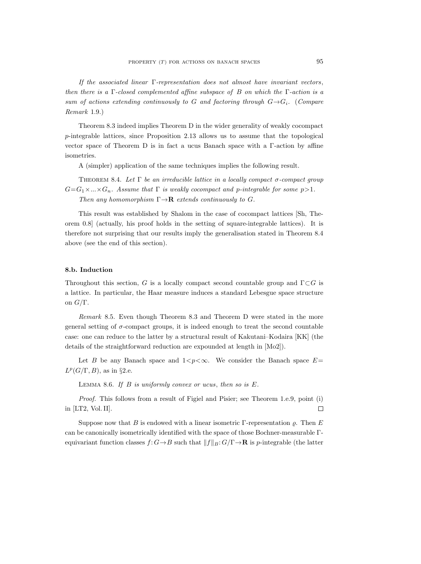If the associated linear  $\Gamma$ -representation does not almost have invariant vectors, then there is a  $\Gamma$ -closed complemented affine subspace of B on which the  $\Gamma$ -action is a sum of actions extending continuously to G and factoring through  $G \rightarrow G_i$ . (Compare Remark 1.9.)

Theorem 8.3 indeed implies Theorem D in the wider generality of weakly cocompact p-integrable lattices, since Proposition 2.13 allows us to assume that the topological vector space of Theorem D is in fact a ucus Banach space with a Γ-action by affine isometries.

A (simpler) application of the same techniques implies the following result.

THEOREM 8.4. Let  $\Gamma$  be an irreducible lattice in a locally compact  $\sigma$ -compact group  $G=G_1\times...\times G_n$ . Assume that  $\Gamma$  is weakly cocompact and p-integrable for some  $p>1$ . Then any homomorphism  $\Gamma \rightarrow \mathbf{R}$  extends continuously to G.

This result was established by Shalom in the case of cocompact lattices [Sh, Theorem 0.8] (actually, his proof holds in the setting of square-integrable lattices). It is therefore not surprising that our results imply the generalisation stated in Theorem 8.4 above (see the end of this section).

# 8.b. Induction

Throughout this section, G is a locally compact second countable group and  $\Gamma \subset G$  is a lattice. In particular, the Haar measure induces a standard Lebesgue space structure on  $G/\Gamma$ .

Remark 8.5. Even though Theorem 8.3 and Theorem D were stated in the more general setting of  $\sigma$ -compact groups, it is indeed enough to treat the second countable case: one can reduce to the latter by a structural result of Kakutani–Kodaira [KK] (the details of the straightforward reduction are expounded at length in [Mo2]).

Let B be any Banach space and  $1 < p < \infty$ . We consider the Banach space  $E=$  $L^p(G/\Gamma, B)$ , as in §2.e.

LEMMA 8.6. If  $B$  is uniformly convex or ucus, then so is  $E$ .

Proof. This follows from a result of Figiel and Pisier; see Theorem 1.e.9, point (i) in [LT2, Vol. II].  $\Box$ 

Suppose now that B is endowed with a linear isometric Γ-representation  $\rho$ . Then E can be canonically isometrically identified with the space of those Bochner-measurable Γequivariant function classes  $f: G \to B$  such that  $||f||_B: G/\Gamma \to \mathbf{R}$  is p-integrable (the latter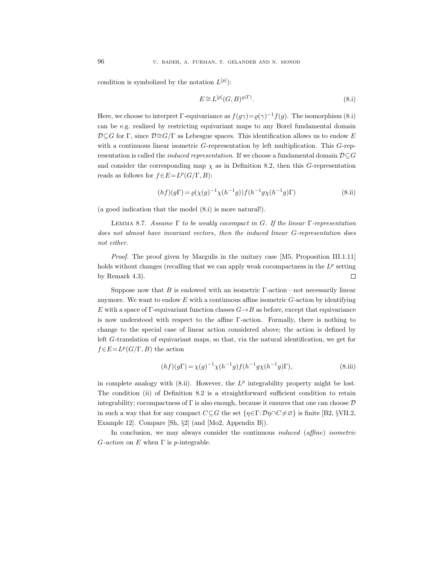condition is symbolized by the notation  $L^{[p]}$ :

$$
E \cong L^{[p]}(G, B)^{\varrho(\Gamma)}.
$$
\n(8.1)

Here, we choose to interpret  $\Gamma$ -equivariance as  $f(g\gamma) = \varrho(\gamma)^{-1} f(g)$ . The isomorphism (8.i) can be e.g. realized by restricting equivariant maps to any Borel fundamental domain  $\mathcal{D}\subseteq G$  for Γ, since  $\mathcal{D}\cong G/\Gamma$  as Lebesgue spaces. This identification allows us to endow E with a continuous linear isometric G-representation by left multiplication. This G-representation is called the *induced representation*. If we choose a fundamental domain  $\mathcal{D}\subseteq G$ and consider the corresponding map  $\chi$  as in Definition 8.2, then this G-representation reads as follows for  $f \in E = L^p(G/\Gamma, B)$ :

$$
(hf)(g\Gamma) = \varrho(\chi(g)^{-1}\chi(h^{-1}g))f(h^{-1}g\chi(h^{-1}g)\Gamma)
$$
\n(8.ii)

(a good indication that the model (8.i) is more natural!).

LEMMA 8.7. Assume  $\Gamma$  to be weakly cocompact in G. If the linear  $\Gamma$ -representation does not almost have invariant vectors, then the induced linear G-representation does not either.

Proof. The proof given by Margulis in the unitary case [M5, Proposition III.1.11] holds without changes (recalling that we can apply weak cocompactness in the  $L^p$  setting by Remark 4.3).  $\Box$ 

Suppose now that  $B$  is endowed with an isometric  $\Gamma$ -action—not necessarily linear anymore. We want to endow  $E$  with a continuous affine isometric  $G$ -action by identifying E with a space of  $\Gamma$ -equivariant function classes  $G \rightarrow B$  as before, except that equivariance is now understood with respect to the affine Γ-action. Formally, there is nothing to change to the special case of linear action considered above; the action is defined by left G-translation of equivariant maps, so that, via the natural identification, we get for  $f \in E = L^p(G/\Gamma, B)$  the action

$$
(hf)(g\Gamma) = \chi(g)^{-1}\chi(h^{-1}g)f(h^{-1}g\chi(h^{-1}g)\Gamma),
$$
\n(8.iii)

in complete analogy with  $(8.ii)$ . However, the  $L^p$  integrability property might be lost. The condition (ii) of Definition 8.2 is a straightforward sufficient condition to retain integrability; cocompactness of  $\Gamma$  is also enough, because it ensures that one can choose  $\mathcal D$ in such a way that for any compact  $C \subseteq G$  the set  $\{\eta \in \Gamma : \mathcal{D}\eta \cap C \neq \emptyset\}$  is finite [B2, §VII.2, Example 12. Compare [Sh,  $\S2$ ] (and [Mo2, Appendix B]).

In conclusion, we may always consider the continuous *induced* (affine) isometric  $G\text{-}action$  on E when  $\Gamma$  is p-integrable.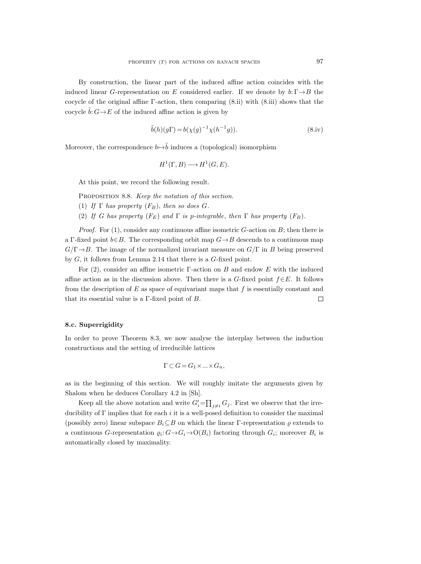By construction, the linear part of the induced affine action coincides with the induced linear G-representation on E considered earlier. If we denote by  $b: \Gamma \rightarrow B$  the cocycle of the original affine Γ-action, then comparing (8.ii) with (8.iii) shows that the cocycle  $\tilde{b}: G \to E$  of the induced affine action is given by

$$
\tilde{b}(h)(g\Gamma) = b(\chi(g)^{-1}\chi(h^{-1}g)).\tag{8.iv}
$$

Moreover, the correspondence  $b \mapsto \tilde{b}$  induces a (topological) isomorphism

$$
H^1(\Gamma, B) \longrightarrow H^1(G, E).
$$

At this point, we record the following result.

PROPOSITION 8.8. Keep the notation of this section.

- (1) If  $\Gamma$  has property  $(F_B)$ , then so does G.
- (2) If G has property  $(F_E)$  and  $\Gamma$  is p-integrable, then  $\Gamma$  has property  $(F_B)$ .

*Proof.* For  $(1)$ , consider any continuous affine isometric G-action on B; then there is a Γ-fixed point  $b \in B$ . The corresponding orbit map  $G \rightarrow B$  descends to a continuous map  $G/\Gamma \rightarrow B$ . The image of the normalized invariant measure on  $G/\Gamma$  in B being preserved by  $G$ , it follows from Lemma 2.14 that there is a  $G$ -fixed point.

For (2), consider an affine isometric  $\Gamma$ -action on B and endow E with the induced affine action as in the discussion above. Then there is a G-fixed point  $f \in E$ . It follows from the description of  $E$  as space of equivariant maps that  $f$  is essentially constant and that its essential value is a  $\Gamma$ -fixed point of B.  $\Box$ 

### 8.c. Superrigidity

In order to prove Theorem 8.3, we now analyse the interplay between the induction constructions and the setting of irreducible lattices

$$
\Gamma \subset G = G_1 \times \ldots \times G_n,
$$

as in the beginning of this section. We will roughly imitate the arguments given by Shalom when he deduces Corollary 4.2 in [Sh].

Keep all the above notation and write  $G_i' = \prod_{j \neq i} G_j$ . First we observe that the irreducibility of  $\Gamma$  implies that for each i it is a well-posed definition to consider the maximal (possibly zero) linear subspace  $B_i \subseteq B$  on which the linear Γ-representation  $\varrho$  extends to a continuous G-representation  $\varrho_i: G \to G_i \to O(B_i)$  factoring through  $G_i$ ; moreover  $B_i$  is automatically closed by maximality.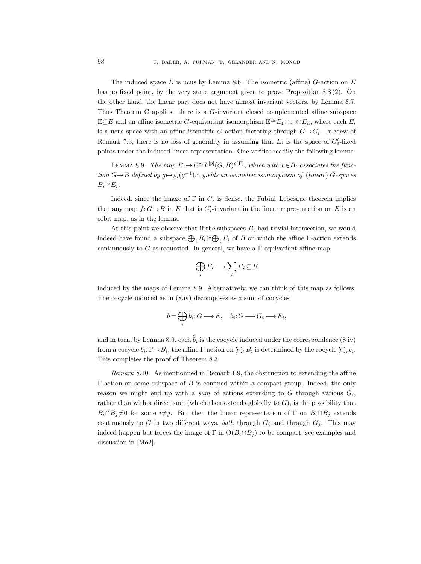The induced space E is ucus by Lemma 8.6. The isometric (affine)  $G$ -action on E has no fixed point, by the very same argument given to prove Proposition 8.8 (2). On the other hand, the linear part does not have almost invariant vectors, by Lemma 8.7. Thus Theorem C applies: there is a G-invariant closed complemented affine subspace  $E ⊆ E$  and an affine isometric G-equivariant isomorphism  $E \cong E_1 \oplus ... \oplus E_n$ , where each  $E_i$ is a ucus space with an affine isometric G-action factoring through  $G \rightarrow G_i$ . In view of Remark 7.3, there is no loss of generality in assuming that  $E_i$  is the space of  $G_i'$ -fixed points under the induced linear representation. One verifies readily the following lemma.

LEMMA 8.9. The map  $B_i \to E \cong L^{[p]}(G, B)^{\varrho(\Gamma)}$ , which with  $v \in B_i$  associates the function  $G \rightarrow B$  defined by  $g \mapsto \varrho_i(g^{-1})v$ , yields an isometric isomorphism of (linear)  $G$ -spaces  $B_i \cong E_i$ .

Indeed, since the image of  $\Gamma$  in  $G_i$  is dense, the Fubini–Lebesgue theorem implies that any map  $f: G \to B$  in E that is  $G_i'$ -invariant in the linear representation on E is an orbit map, as in the lemma.

At this point we observe that if the subspaces  $B_i$  had trivial intersection, we would indeed have found a subspace  $\bigoplus_i B_i \cong \bigoplus_i E_i$  of B on which the affine  $\Gamma$ -action extends continuously to G as requested. In general, we have a  $\Gamma$ -equivariant affine map

$$
\bigoplus_i E_i \longrightarrow \sum_i B_i \subseteq B
$$

induced by the maps of Lemma 8.9. Alternatively, we can think of this map as follows. The cocycle induced as in (8.iv) decomposes as a sum of cocycles

$$
\tilde{b} = \bigoplus_i \tilde{b}_i : G \longrightarrow E, \quad \tilde{b}_i : G \longrightarrow G_i \longrightarrow E_i,
$$

and in turn, by Lemma 8.9, each  $\tilde{b}_i$  is the cocycle induced under the correspondence (8.iv) from a cocycle  $b_i: \Gamma \to B_i$ ; the affine  $\Gamma$ -action on  $\sum_i B_i$  is determined by the cocycle  $\sum_i b_i$ . This completes the proof of Theorem 8.3.

Remark 8.10. As mentionned in Remark 1.9, the obstruction to extending the affine Γ-action on some subspace of B is confined within a compact group. Indeed, the only reason we might end up with a sum of actions extending to G through various  $G_i$ , rather than with a direct sum (which then extends globally to  $G$ ), is the possibility that  $B_i \cap B_j \neq 0$  for some  $i \neq j$ . But then the linear representation of  $\Gamma$  on  $B_i \cap B_j$  extends continuously to G in two different ways, *both* through  $G_i$  and through  $G_j$ . This may indeed happen but forces the image of  $\Gamma$  in  $O(B_i \cap B_j)$  to be compact; see examples and discussion in [Mo2].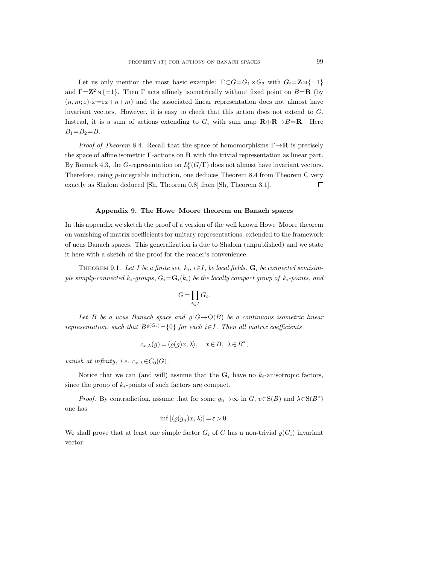Let us only mention the most basic example:  $\Gamma \subset G = G_1 \times G_2$  with  $G_i = \mathbf{Z} \times \{\pm 1\}$ and  $\Gamma = \mathbb{Z}^2 \rtimes {\pm 1}$ . Then  $\Gamma$  acts affinely isometrically without fixed point on  $B = \mathbb{R}$  (by  $(n, m; \varepsilon) \cdot x = \varepsilon x + n + m$ ) and the associated linear representation does not almost have invariant vectors. However, it is easy to check that this action does not extend to G. Instead, it is a sum of actions extending to  $G_i$  with sum map  $\mathbf{R} \oplus \mathbf{R} \to B = \mathbf{R}$ . Here  $B_1=B_2=B$ .

*Proof of Theorem 8.4.* Recall that the space of homomorphisms  $\Gamma \rightarrow \mathbf{R}$  is precisely the space of affine isometric  $\Gamma$ -actions on **R** with the trivial representation as linear part. By Remark 4.3, the G-representation on  $L_0^p(G/\Gamma)$  does not almost have invariant vectors. Therefore, using p-integrable induction, one deduces Theorem 8.4 from Theorem C very exactly as Shalom deduced [Sh, Theorem 0.8] from [Sh, Theorem 3.1].  $\Box$ 

### Appendix 9. The Howe–Moore theorem on Banach spaces

In this appendix we sketch the proof of a version of the well known Howe–Moore theorem on vanishing of matrix coefficients for unitary representations, extended to the framework of ucus Banach spaces. This generalization is due to Shalom (unpublished) and we state it here with a sketch of the proof for the reader's convenience.

THEOREM 9.1. Let I be a finite set,  $k_i$ ,  $i \in I$ , be local fields,  $G_i$  be connected semisimple simply-connected  $k_i$ -groups,  $G_i = G_i(k_i)$  be the locally compact group of  $k_i$ -points, and

$$
G=\prod_{i\in I}G_i.
$$

Let B be a ucus Banach space and  $\rho: G \rightarrow O(B)$  be a continuous isometric linear representation, such that  $B^{o(G_i)} = \{0\}$  for each i $\in I$ . Then all matrix coefficients

$$
c_{x,\lambda}(g) = \langle \varrho(g)x, \lambda \rangle, \quad x \in B, \ \lambda \in B^*,
$$

vanish at infinity, i.e.  $c_{x,\lambda} \in C_0(G)$ .

Notice that we can (and will) assume that the  $G_i$  have no  $k_i$ -anisotropic factors, since the group of  $k_i$ -points of such factors are compact.

*Proof.* By contradiction, assume that for some  $g_n \to \infty$  in  $G$ ,  $v \in S(B)$  and  $\lambda \in S(B^*)$ one has

$$
\inf |\langle \varrho(g_n)x, \lambda \rangle| = \varepsilon > 0.
$$

We shall prove that at least one simple factor  $G_i$  of G has a non-trivial  $\varrho(G_i)$  invariant vector.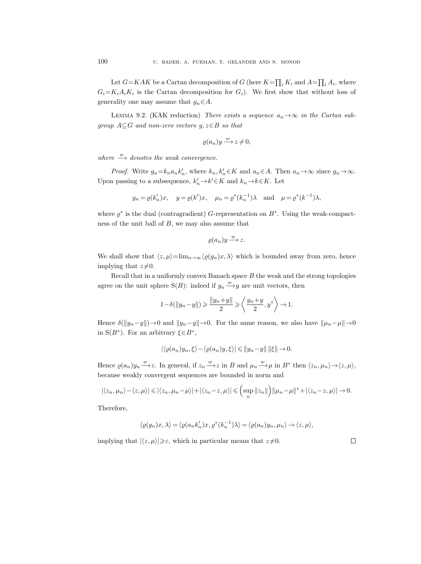Let  $G=KAK$  be a Cartan decomposition of G (here  $K=\prod_i K_i$  and  $A=\prod_i A_i$ , where  $G_i = K_i A_i K_i$  is the Cartan decomposition for  $G_i$ ). We first show that without loss of generality one may assume that  $g_n \in A$ .

LEMMA 9.2. (KAK reduction) There exists a sequence  $a_n \rightarrow \infty$  in the Cartan subgroup  $A \subseteq G$  and non-zero vectors  $y, z \in B$  so that

$$
\varrho(a_n)y \xrightarrow{w} z \neq 0,
$$

where  $\stackrel{w}{\longrightarrow}$  denotes the weak convergence.

*Proof.* Write  $g_n = k_n a_n k'_n$ , where  $k_n, k'_n \in K$  and  $a_n \in A$ . Then  $a_n \to \infty$  since  $g_n \to \infty$ . Upon passing to a subsequence,  $k'_n \to k' \in K$  and  $k_n \to k \in K$ . Let

$$
y_n = \varrho(k'_n)x
$$
,  $y = \varrho(k')x$ ,  $\mu_n = \varrho^*(k_n^{-1})\lambda$  and  $\mu = \varrho^*(k^{-1})\lambda$ ,

where  $\varrho^*$  is the dual (contragradient) G-representation on  $B^*$ . Using the weak-compactness of the unit ball of  $B$ , we may also assume that

$$
\varrho(a_n)y \xrightarrow{w} z.
$$

We shall show that  $\langle z, \mu \rangle = \lim_{n \to \infty} \langle \varrho(g_n)x, \lambda \rangle$  which is bounded away from zero, hence implying that  $z\neq0$ .

Recall that in a uniformly convex Banach space  $B$  the weak and the strong topologies agree on the unit sphere S(B): indeed if  $y_n \xrightarrow{w} y$  are unit vectors, then

$$
1 - \delta(||y_n - y||) \ge \frac{||y_n + y||}{2} \ge \left\langle \frac{y_n + y}{2}, y^* \right\rangle \to 1.
$$

Hence  $\delta(\|y_n-y\|) \to 0$  and  $\|y_n-y\| \to 0$ . For the same reason, we also have  $\|\mu_n-\mu\| \to 0$ in  $S(B^*)$ . For an arbitrary  $\xi \in B^*$ ,

$$
|\langle \varrho(a_n)y_n, \xi \rangle - \langle \varrho(a_n)y, \xi \rangle| \leq \|y_n - y\| \|\xi\| \to 0.
$$

Hence  $\varrho(a_n)y_n \xrightarrow{w} z$ . In general, if  $z_n \xrightarrow{w} z$  in B and  $\mu_n \xrightarrow{w} \mu$  in B<sup>\*</sup> then  $\langle z_n, \mu_n \rangle \rightarrow \langle z, \mu \rangle$ , because weakly convergent sequences are bounded in norm and

$$
|\langle z_n,\mu_n\rangle-\langle z,\mu\rangle|\leqslant|\langle z_n,\mu_n-\mu\rangle|+|\langle z_n-z,\mu\rangle|\leqslant\left(\sup_n\|z_n\|\right)\|\mu_n-\mu\|^*+|\langle z_n-z,\mu\rangle|\to 0.
$$

Therefore,

$$
\langle \varrho(g_n)x, \lambda \rangle = \langle \varrho(a_n k'_n)x, \varrho^*(k_n^{-1})\lambda \rangle = \langle \varrho(a_n)y_n, \mu_n \rangle \to \langle z, \mu \rangle,
$$

implying that  $|\langle z, \mu \rangle| \geq \varepsilon$ , which in particular means that  $z\neq0$ .

 $\Box$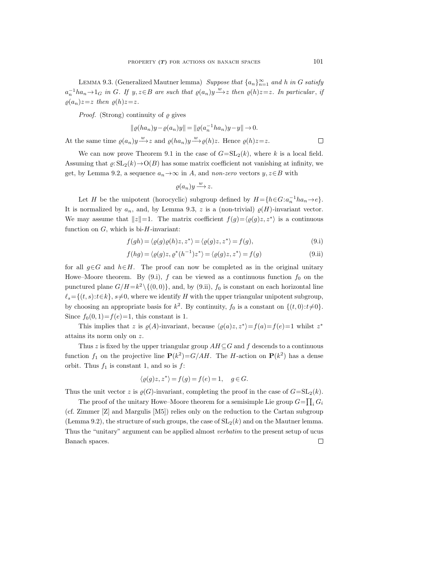LEMMA 9.3. (Generalized Mautner lemma) Suppose that  $\{a_n\}_{n=1}^{\infty}$  and h in G satisfy  $a_n^{-1}ha_n \to 1_G$  in G. If  $y, z \in B$  are such that  $\varrho(a_n)y \xrightarrow{w} z$  then  $\varrho(h)z=z$ . In particular, if  $\varrho(a_n)z=z$  then  $\varrho(h)z=z$ .

*Proof.* (Strong) continuity of  $\varrho$  gives

$$
\|\varrho(ha_n)y - \varrho(a_n)y\| = \|\varrho(a_n^{-1}ha_n)y - y\| \to 0.
$$

At the same time  $\varrho(a_n)y \xrightarrow{w} z$  and  $\varrho(ha_n)y \xrightarrow{w} \varrho(h)z$ . Hence  $\varrho(h)z=z$ .

We can now prove Theorem 9.1 in the case of  $G=\mathrm{SL}_2(k)$ , where k is a local field. Assuming that  $\varrho: SL_2(k) \to O(B)$  has some matrix coefficient not vanishing at infinity, we get, by Lemma 9.2, a sequence  $a_n \to \infty$  in A, and non-zero vectors  $y, z \in B$  with

$$
\varrho(a_n)y\overset{w}{\longrightarrow}z.
$$

Let H be the unipotent (horocyclic) subgroup defined by  $H = \{h \in G : a_n^{-1}ha_n \to e\}.$ It is normalized by  $a_n$ , and, by Lemma 9.3, z is a (non-trivial)  $\varrho(H)$ -invariant vector. We may assume that  $||z||=1$ . The matrix coefficient  $f(g) = \langle \varrho(g)z, z^* \rangle$  is a continuous function on  $G$ , which is bi- $H$ -invariant:

$$
f(gh) = \langle \varrho(g)\varrho(h)z, z^* \rangle = \langle \varrho(g)z, z^* \rangle = f(g), \tag{9.1}
$$

$$
f(hg) = \langle \varrho(g)z, \varrho^*(h^{-1})z^* \rangle = \langle \varrho(g)z, z^* \rangle = f(g)
$$
\n(9.ii)

for all  $g \in G$  and  $h \in H$ . The proof can now be completed as in the original unitary Howe–Moore theorem. By (9.i), f can be viewed as a continuous function  $f_0$  on the punctured plane  $G/H = k^2 \setminus \{(0, 0)\}\$ , and, by (9.ii),  $f_0$  is constant on each horizontal line  $\ell_s=\{(t, s):t\in\mathbb{R}\}, s\neq 0,$  where we identify H with the upper triangular unipotent subgroup, by choosing an appropriate basis for  $k^2$ . By continuity,  $f_0$  is a constant on  $\{(t, 0): t \neq 0\}$ . Since  $f_0(0, 1) = f(e) = 1$ , this constant is 1.

This implies that z is  $\varrho(A)$ -invariant, because  $\langle \varrho(a)z, z^* \rangle = f(a) = f(e) = 1$  whilst  $z^*$ attains its norm only on z.

Thus z is fixed by the upper triangular group  $AH \subseteq G$  and f descends to a continuous function  $f_1$  on the projective line  $\mathbf{P}(k^2) = G/AH$ . The H-action on  $\mathbf{P}(k^2)$  has a dense orbit. Thus  $f_1$  is constant 1, and so is  $f$ :

$$
\langle \varrho(g)z, z^* \rangle = f(g) = f(e) = 1, \quad g \in G.
$$

Thus the unit vector z is  $\varrho(G)$ -invariant, completing the proof in the case of  $G=\mathrm{SL}_2(k)$ .

The proof of the unitary Howe–Moore theorem for a semisimple Lie group  $G = \prod_i G_i$ (cf. Zimmer [Z] and Margulis [M5]) relies only on the reduction to the Cartan subgroup (Lemma 9.2), the structure of such groups, the case of  $SL_2(k)$  and on the Mautner lemma. Thus the "unitary" argument can be applied almost verbatim to the present setup of ucus Banach spaces. $\Box$ 

 $\Box$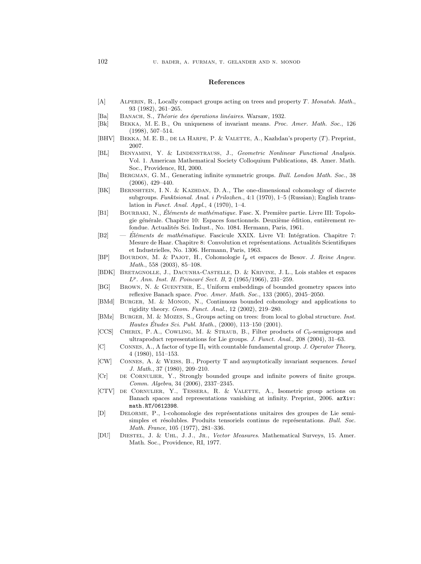### References

- [A] ALPERIN, R., Locally compact groups acting on trees and property T. Monatsh. Math., 93 (1982), 261–265.
- [Ba] BANACH, S., Théorie des óperations linéaires. Warsaw, 1932.
- [Bk] Bekka, M. E. B., On uniqueness of invariant means. Proc. Amer. Math. Soc., 126 (1998), 507–514.
- [BHV] BEKKA, M. E. B., DE LA HARPE, P. & VALETTE, A., Kazhdan's property  $(T)$ . Preprint, 2007.
- [BL] BENYAMINI, Y. & LINDENSTRAUSS, J., Geometric Nonlinear Functional Analysis. Vol. 1. American Mathematical Society Colloquium Publications, 48. Amer. Math. Soc., Providence, RI, 2000.
- [Bn] Bergman, G. M., Generating infinite symmetric groups. Bull. London Math. Soc., 38 (2006), 429–440.
- [BK] BERNSHTEIN, I. N. & KAZHDAN, D. A., The one-dimensional cohomology of discrete subgroups. Funktsional. Anal. i Prilozhen., 4:1 (1970), 1–5 (Russian); English translation in Funct. Anal. Appl., 4 (1970), 1–4.
- [B1] BOURBAKI, N., Éléments de mathématique. Fasc. X. Première partie. Livre III: Topologie générale. Chapitre 10: Espaces fonctionnels. Deuxième édition, entièrement refondue. Actualités Sci. Indust., No. 1084. Hermann, Paris, 1961.
- [B2]  $-$  Éléments de mathématique. Fascicule XXIX. Livre VI: Intégration. Chapitre 7: Mesure de Haar. Chapitre 8: Convolution et représentations. Actualités Scientifiques et Industrielles, No. 1306. Hermann, Paris, 1963.
- [BP] Bourdon, M. & Pajot, H., Cohomologie l<sup>p</sup> et espaces de Besov. J. Reine Angew. Math., 558 (2003), 85–108.
- [BDK] Bretagnolle, J., Dacunha-Castelle, D. & Krivine, J. L., Lois stables et espaces L<sup>p</sup>. Ann. Inst. H. Poincaré Sect. B, 2 (1965/1966), 231-259.
- [BG] BROWN, N. & GUENTNER, E., Uniform embeddings of bounded geometry spaces into reflexive Banach space. Proc. Amer. Math. Soc., 133 (2005), 2045–2050.
- [BMd] BURGER, M. & MONOD, N., Continuous bounded cohomology and applications to rigidity theory. Geom. Funct. Anal., 12 (2002), 219–280.
- [BMz] Burger, M. & Mozes, S., Groups acting on trees: from local to global structure. Inst. Hautes Études Sci. Publ. Math.,  $(2000)$ , 113–150  $(2001)$ .
- [CCS] CHERIX, P. A., COWLING, M. & STRAUB, B., Filter products of  $C_0$ -semigroups and ultraproduct representations for Lie groups. J. Funct. Anal., 208 (2004), 31–63.
- [C] Connes, A., A factor of type II<sup>1</sup> with countable fundamental group. J. Operator Theory, 4 (1980), 151–153.
- [CW] Connes, A. & Weiss, B., Property T and asymptotically invariant sequences. Israel J. Math., 37 (1980), 209–210.
- [Cr] de Cornulier, Y., Strongly bounded groups and infinite powers of finite groups. Comm. Algebra, 34 (2006), 2337–2345.
- [CTV] de Cornulier, Y., Tessera, R. & Valette, A., Isometric group actions on Banach spaces and representations vanishing at infinity. Preprint, 2006. arXiv: math.RT/0612398.
- [D] Delorme, P., 1-cohomologie des repr´esentations unitaires des groupes de Lie semisimples et résolubles. Produits tensoriels continus de représentations. Bull. Soc. Math. France, 105 (1977), 281–336.
- [DU] Diestel, J. & Uhl, J. J., Jr., Vector Measures. Mathematical Surveys, 15. Amer. Math. Soc., Providence, RI, 1977.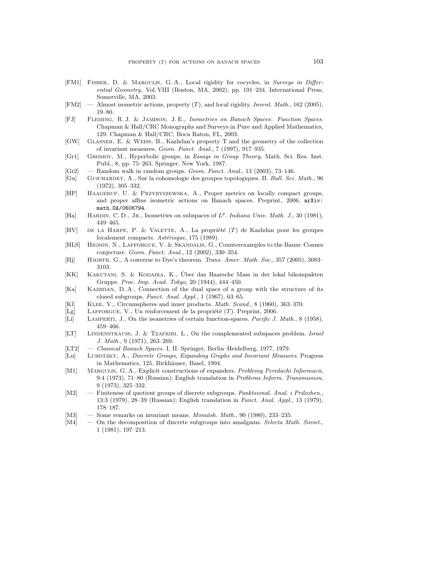- [FM1] FISHER, D. & MARGULIS, G.A., Local rigidity for cocycles, in Surveys in Differential Geometry, Vol. VIII (Boston, MA, 2002), pp. 191–234. International Press, Somerville, MA, 2003.
- [FM2] Almost isometric actions, property  $(T)$ , and local rigidity. Invent. Math., 162 (2005), 19–80.
- [FJ] Fleming, R. J. & Jamison, J. E., Isometries on Banach Spaces: Function Spaces. Chapman & Hall/CRC Monographs and Surveys in Pure and Applied Mathematics, 129. Chapman & Hall/CRC, Boca Raton, FL, 2003.
- [GW] Glasner, E. & Weiss, B., Kazhdan's property T and the geometry of the collection of invariant measures. Geom. Funct. Anal., 7 (1997), 917–935.
- [Gr1] Gromov, M., Hyperbolic groups, in Essays in Group Theory, Math. Sci. Res. Inst. Publ., 8, pp. 75–263. Springer, New York, 1987.
- $[Gr2] \quad$  Random walk in random groups. *Geom. Funct. Anal.*, 13 (2003), 73–146.
- [Gu] Guichardet, A., Sur la cohomologie des groupes topologiques. II. Bull. Sci. Math., 96 (1972), 305–332.
- [HP] Haagerup, U. & Przybyszewska, A., Proper metrics on locally compact groups, and proper affine isometric actions on Banach spaces. Preprint, 2006. arXiv: math.OA/0606794.
- [Ha] HARDIN, C.D., JR., Isometries on subspaces of  $L^p$ . Indiana Univ. Math. J., 30 (1981), 449–465.
- [HV] DE LA HARPE, P. & VALETTE, A., La propriété  $(T)$  de Kazhdan pour les groupes localement compacts. Astérisque, 175 (1989).
- [HLS] HIGSON, N., LAFFORGUE, V. & SKANDALIS, G., Counterexamples to the Baum–Connes conjecture. Geom. Funct. Anal., 12 (2002), 330–354.
- [Hj] HJORTH, G., A converse to Dye's theorem. Trans. Amer. Math. Soc., 357 (2005), 3083-3103.
- [KK] Kakutani, S. & Kodaira, K., Uber das Haarsche Mass in der lokal bikompakten ¨ Gruppe. Proc. Imp. Acad. Tokyo, 20 (1944), 444–450.
- [Ka] KAZHDAN, D. A., Connection of the dual space of a group with the structure of its closed subgroups. Funct. Anal. Appl., 1 (1967), 63–65.
- [Kl] Klee, V., Circumspheres and inner products. Math. Scand., 8 (1960), 363–370.
- [Lg] LAFFORGUE, V., Un renforcement de la propriété  $(T)$ . Preprint, 2006.
- [Li] LAMPERTI, J., On the isometries of certain function-spaces. *Pacific J. Math.*, 8 (1958), 459–466.
- [LT] LINDENSTRAUSS, J. & TZAFRIRI, L., On the complemented subspaces problem. Israel J. Math., 9 (1971), 263–269.
- [LT2] Classical Banach Spaces. I, II. Springer, Berlin–Heidelberg, 1977, 1979.
- [Lu] Lubotzky, A., Discrete Groups, Expanding Graphs and Invariant Measures. Progress in Mathematics, 125. Birkhäuser, Basel, 1994.
- [M1] MARGULIS, G. A., Explicit constructions of expanders. Problemy Peredachi Informacii, 9:4 (1973), 71–80 (Russian); English translation in Problems Inform. Transmission, 9 (1973), 325–332.
- [M2] Finiteness of quotient groups of discrete subgroups. Funktsional. Anal. i Prilozhen., 13:3 (1979), 28–39 (Russian); English translation in Funct. Anal. Appl., 13 (1979), 178–187.
- [M3] Some remarks on invariant means. *Monatsh. Math.*, 90 (1980), 233–235.
- [M4] On the decomposition of discrete subgroups into amalgams. Selecta Math. Soviet., 1 (1981), 197–213.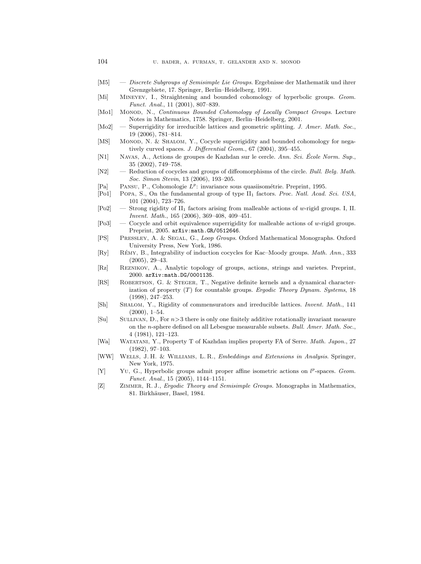- [M5] Discrete Subgroups of Semisimple Lie Groups. Ergebnisse der Mathematik und ihrer Grenzgebiete, 17. Springer, Berlin–Heidelberg, 1991.
- [Mi] Mineyev, I., Straightening and bounded cohomology of hyperbolic groups. Geom. Funct. Anal., 11 (2001), 807–839.
- [Mo1] Monop, N., Continuous Bounded Cohomology of Locally Compact Groups. Lecture Notes in Mathematics, 1758. Springer, Berlin–Heidelberg, 2001.
- [Mo2] Superrigidity for irreducible lattices and geometric splitting. J. Amer. Math. Soc., 19 (2006), 781–814.
- [MS] MONOD, N. & SHALOM, Y., Cocycle superrigidity and bounded cohomology for negatively curved spaces. J. Differential Geom., 67 (2004), 395-455.
- [N1] NAVAS, A., Actions de groupes de Kazhdan sur le cercle. Ann. Sci. École Norm. Sup. 35 (2002), 749–758.
- [N2] Reduction of cocycles and groups of diffeomorphisms of the circle. Bull. Belg. Math. Soc. Simon Stevin, 13 (2006), 193–205.
- [Pa] PANSU, P., Cohomologie  $L^p$ : invariance sous quasiisométrie. Preprint, 1995.
- [Po1] POPA, S., On the fundamental group of type II<sub>1</sub> factors. Proc. Natl. Acad. Sci. USA, 101 (2004), 723–726.
- [Po2] Strong rigidity of II<sup>1</sup> factors arising from malleable actions of w-rigid groups. I, II. Invent. Math., 165 (2006), 369–408, 409–451.
- $[P_03]$  Cocycle and orbit equivalence superrigidity for malleable actions of w-rigid groups. Preprint, 2005. arXiv:math.GR/0512646.
- [PS] Pressley, A. & Segal, G., Loop Groups. Oxford Mathematical Monographs. Oxford University Press, New York, 1986.
- [Ry] RÉMY, B., Integrability of induction cocycles for Kac–Moody groups. Math. Ann., 333  $(2005), 29-43.$
- [Rz] Reznikov, A., Analytic topology of groups, actions, strings and varietes. Preprint, 2000. arXiv:math.DG/0001135.
- [RS] Robertson, G. & Steger, T., Negative definite kernels and a dynamical characterization of property  $(T)$  for countable groups. Ergodic Theory Dynam. Systems, 18 (1998), 247–253.
- [Sh] Shalom, Y., Rigidity of commensurators and irreducible lattices. Invent. Math., 141  $(2000), 1-54.$
- [Su] Sullivan, D., For n>3 there is only one finitely additive rotationally invariant measure on the n-sphere defined on all Lebesgue measurable subsets. Bull. Amer. Math. Soc., 4 (1981), 121–123.
- [Wa] Watatani, Y., Property T of Kazhdan implies property FA of Serre. Math. Japon., 27 (1982), 97–103.
- [WW] Wells, J. H. & Williams, L. R., Embeddings and Extensions in Analysis. Springer, New York, 1975.
- [Y] Yu, G., Hyperbolic groups admit proper affine isometric actions on  $l^p$ -spaces. Geom. Funct. Anal., 15 (2005), 1144–1151.
- [Z] Zimmer, R. J., Ergodic Theory and Semisimple Groups. Monographs in Mathematics, 81. Birkhäuser, Basel, 1984.